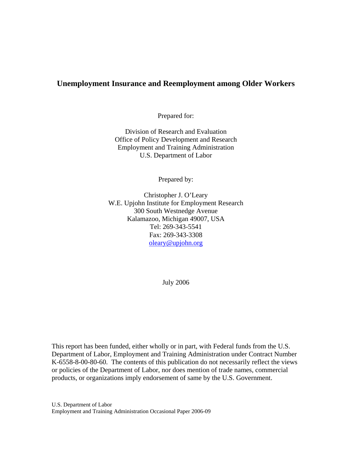### **Unemployment Insurance and Reemployment among Older Workers**

Prepared for:

Division of Research and Evaluation Office of Policy Development and Research Employment and Training Administration U.S. Department of Labor

Prepared by:

Christopher J. O'Leary W.E. Upjohn Institute for Employment Research 300 South Westnedge Avenue Kalamazoo, Michigan 49007, USA Tel: 269-343-5541 Fax: 269-343-3308 [oleary@upjohn.org](mailto:oleary@upjohn.org) 

July 2006

This report has been funded, either wholly or in part, with Federal funds from the U.S. Department of Labor, Employment and Training Administration under Contract Number K-6558-8-00-80-60. The contents of this publication do not necessarily reflect the views or policies of the Department of Labor, nor does mention of trade names, commercial products, or organizations imply endorsement of same by the U.S. Government.

U.S. Department of Labor Employment and Training Administration Occasional Paper 2006-09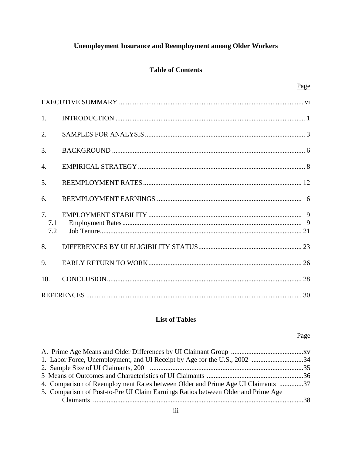# **Unemployment Insurance and Reemployment among Older Workers**

### **Table of Contents**

| 1.               |  |
|------------------|--|
| 2.               |  |
| 3.               |  |
| $\overline{4}$ . |  |
| 5.               |  |
| 6.               |  |
| 7.<br>7.1<br>7.2 |  |
| 8.               |  |
| 9.               |  |
| 10.              |  |
|                  |  |

## **List of Tables**

### Page

| 4. Comparison of Reemployment Rates between Older and Prime Age UI Claimants 37   |  |
|-----------------------------------------------------------------------------------|--|
| 5. Comparison of Post-to-Pre UI Claim Earnings Ratios between Older and Prime Age |  |
|                                                                                   |  |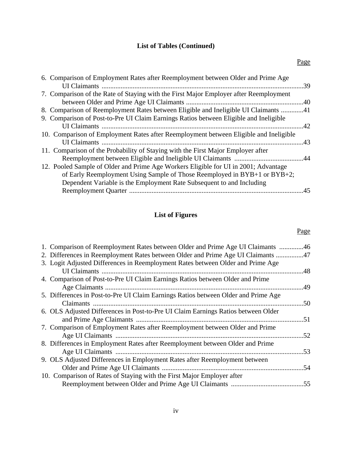### **List of Tables (Continued)**

# **List of Figures**

### Page

| 1. Comparison of Reemployment Rates between Older and Prime Age UI Claimants 46    |     |
|------------------------------------------------------------------------------------|-----|
| 2. Differences in Reemployment Rates between Older and Prime Age UI Claimants 47   |     |
| 3. Logit Adjusted Differences in Reemployment Rates between Older and Prime Age    |     |
|                                                                                    | .48 |
| 4. Comparison of Post-to-Pre UI Claim Earnings Ratios between Older and Prime      |     |
|                                                                                    |     |
| 5. Differences in Post-to-Pre UI Claim Earnings Ratios between Older and Prime Age |     |
|                                                                                    | .50 |
| 6. OLS Adjusted Differences in Post-to-Pre UI Claim Earnings Ratios between Older  |     |
|                                                                                    |     |
| 7. Comparison of Employment Rates after Reemployment between Older and Prime       |     |
|                                                                                    |     |
| 8. Differences in Employment Rates after Reemployment between Older and Prime      |     |
|                                                                                    | .53 |
| 9. OLS Adjusted Differences in Employment Rates after Reemployment between         |     |
|                                                                                    |     |
| 10. Comparison of Rates of Staying with the First Major Employer after             |     |
|                                                                                    |     |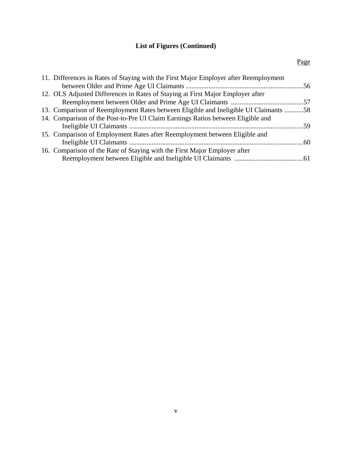# **List of Figures (Continued)**

| 11. Differences in Rates of Staying with the First Major Employer after Reemployment |  |
|--------------------------------------------------------------------------------------|--|
|                                                                                      |  |
| 12. OLS Adjusted Differences in Rates of Staying at First Major Employer after       |  |
|                                                                                      |  |
| 13. Comparison of Reemployment Rates between Eligible and Ineligible UI Claimants 58 |  |
| 14. Comparison of the Post-to-Pre UI Claim Earnings Ratios between Eligible and      |  |
|                                                                                      |  |
| 15. Comparison of Employment Rates after Reemployment between Eligible and           |  |
|                                                                                      |  |
| 16. Comparison of the Rate of Staying with the First Major Employer after            |  |
|                                                                                      |  |
|                                                                                      |  |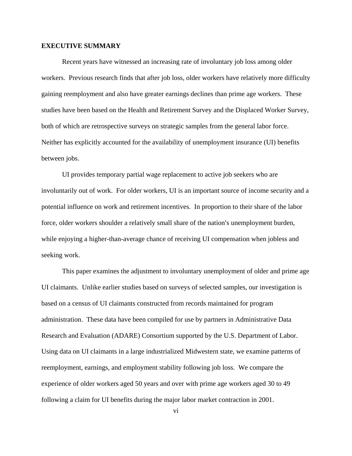#### **EXECUTIVE SUMMARY**

Recent years have witnessed an increasing rate of involuntary job loss among older workers. Previous research finds that after job loss, older workers have relatively more difficulty gaining reemployment and also have greater earnings declines than prime age workers. These studies have been based on the Health and Retirement Survey and the Displaced Worker Survey, both of which are retrospective surveys on strategic samples from the general labor force. Neither has explicitly accounted for the availability of unemployment insurance (UI) benefits between jobs.

UI provides temporary partial wage replacement to active job seekers who are involuntarily out of work. For older workers, UI is an important source of income security and a potential influence on work and retirement incentives. In proportion to their share of the labor force, older workers shoulder a relatively small share of the nation's unemployment burden, while enjoying a higher-than-average chance of receiving UI compensation when jobless and seeking work.

This paper examines the adjustment to involuntary unemployment of older and prime age UI claimants. Unlike earlier studies based on surveys of selected samples, our investigation is based on a census of UI claimants constructed from records maintained for program administration. These data have been compiled for use by partners in Administrative Data Research and Evaluation (ADARE) Consortium supported by the U.S. Department of Labor. Using data on UI claimants in a large industrialized Midwestern state, we examine patterns of reemployment, earnings, and employment stability following job loss. We compare the experience of older workers aged 50 years and over with prime age workers aged 30 to 49 following a claim for UI benefits during the major labor market contraction in 2001.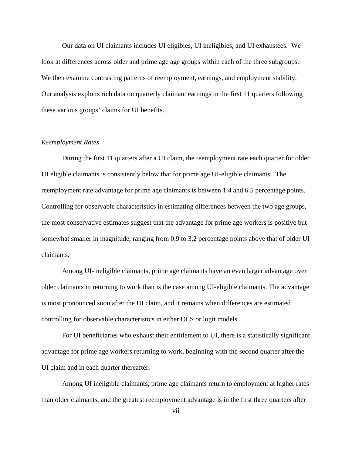Our data on UI claimants includes UI eligibles, UI ineligibles, and UI exhaustees. We look at differences across older and prime age age groups within each of the three subgroups. We then examine contrasting patterns of reemployment, earnings, and employment stability. Our analysis exploits rich data on quarterly claimant earnings in the first 11 quarters following these various groups' claims for UI benefits.

#### *Reemployment Rates*

During the first 11 quarters after a UI claim, the reemployment rate each quarter for older UI eligible claimants is consistently below that for prime age UI-eligible claimants. The reemployment rate advantage for prime age claimants is between 1.4 and 6.5 percentage points. Controlling for observable characteristics in estimating differences between the two age groups, the most conservative estimates suggest that the advantage for prime age workers is positive but somewhat smaller in magnitude, ranging from 0.9 to 3.2 percentage points above that of older UI claimants.

Among UI-ineligible claimants, prime age claimants have an even larger advantage over older claimants in returning to work than is the case among UI-eligible claimants. The advantage is most pronounced soon after the UI claim, and it remains when differences are estimated controlling for observable characteristics in either OLS or logit models.

For UI beneficiaries who exhaust their entitlement to UI, there is a statistically significant advantage for prime age workers returning to work, beginning with the second quarter after the UI claim and in each quarter thereafter.

Among UI ineligible claimants, prime age claimants return to employment at higher rates than older claimants, and the greatest reemployment advantage is in the first three quarters after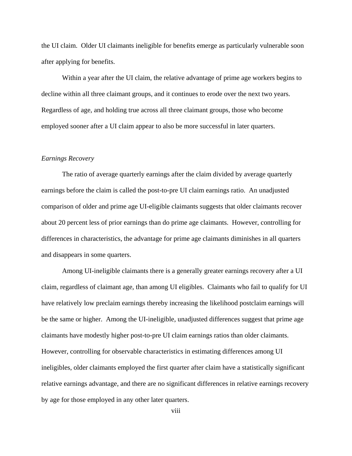the UI claim. Older UI claimants ineligible for benefits emerge as particularly vulnerable soon after applying for benefits.

Within a year after the UI claim, the relative advantage of prime age workers begins to decline within all three claimant groups, and it continues to erode over the next two years. Regardless of age, and holding true across all three claimant groups, those who become employed sooner after a UI claim appear to also be more successful in later quarters.

#### *Earnings Recovery*

The ratio of average quarterly earnings after the claim divided by average quarterly earnings before the claim is called the post-to-pre UI claim earnings ratio. An unadjusted comparison of older and prime age UI-eligible claimants suggests that older claimants recover about 20 percent less of prior earnings than do prime age claimants. However, controlling for differences in characteristics, the advantage for prime age claimants diminishes in all quarters and disappears in some quarters.

Among UI-ineligible claimants there is a generally greater earnings recovery after a UI claim, regardless of claimant age, than among UI eligibles. Claimants who fail to qualify for UI have relatively low preclaim earnings thereby increasing the likelihood postclaim earnings will be the same or higher. Among the UI-ineligible, unadjusted differences suggest that prime age claimants have modestly higher post-to-pre UI claim earnings ratios than older claimants. However, controlling for observable characteristics in estimating differences among UI ineligibles, older claimants employed the first quarter after claim have a statistically significant relative earnings advantage, and there are no significant differences in relative earnings recovery by age for those employed in any other later quarters.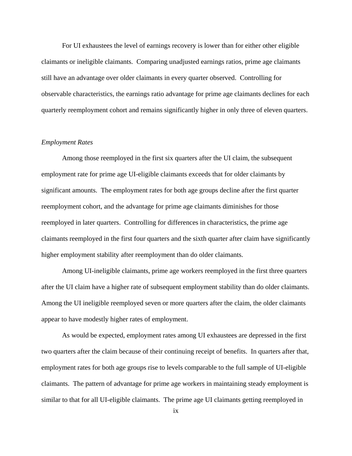For UI exhaustees the level of earnings recovery is lower than for either other eligible claimants or ineligible claimants. Comparing unadjusted earnings ratios, prime age claimants still have an advantage over older claimants in every quarter observed. Controlling for observable characteristics, the earnings ratio advantage for prime age claimants declines for each quarterly reemployment cohort and remains significantly higher in only three of eleven quarters.

#### *Employment Rates*

Among those reemployed in the first six quarters after the UI claim, the subsequent employment rate for prime age UI-eligible claimants exceeds that for older claimants by significant amounts. The employment rates for both age groups decline after the first quarter reemployment cohort, and the advantage for prime age claimants diminishes for those reemployed in later quarters. Controlling for differences in characteristics, the prime age claimants reemployed in the first four quarters and the sixth quarter after claim have significantly higher employment stability after reemployment than do older claimants.

Among UI-ineligible claimants, prime age workers reemployed in the first three quarters after the UI claim have a higher rate of subsequent employment stability than do older claimants. Among the UI ineligible reemployed seven or more quarters after the claim, the older claimants appear to have modestly higher rates of employment.

As would be expected, employment rates among UI exhaustees are depressed in the first two quarters after the claim because of their continuing receipt of benefits. In quarters after that, employment rates for both age groups rise to levels comparable to the full sample of UI-eligible claimants. The pattern of advantage for prime age workers in maintaining steady employment is similar to that for all UI-eligible claimants. The prime age UI claimants getting reemployed in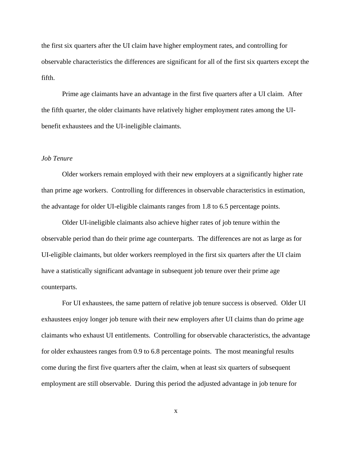the first six quarters after the UI claim have higher employment rates, and controlling for observable characteristics the differences are significant for all of the first six quarters except the fifth.

Prime age claimants have an advantage in the first five quarters after a UI claim. After the fifth quarter, the older claimants have relatively higher employment rates among the UIbenefit exhaustees and the UI-ineligible claimants.

#### *Job Tenure*

Older workers remain employed with their new employers at a significantly higher rate than prime age workers. Controlling for differences in observable characteristics in estimation, the advantage for older UI-eligible claimants ranges from 1.8 to 6.5 percentage points.

Older UI-ineligible claimants also achieve higher rates of job tenure within the observable period than do their prime age counterparts. The differences are not as large as for UI-eligible claimants, but older workers reemployed in the first six quarters after the UI claim have a statistically significant advantage in subsequent job tenure over their prime age counterparts.

For UI exhaustees, the same pattern of relative job tenure success is observed. Older UI exhaustees enjoy longer job tenure with their new employers after UI claims than do prime age claimants who exhaust UI entitlements. Controlling for observable characteristics, the advantage for older exhaustees ranges from 0.9 to 6.8 percentage points. The most meaningful results come during the first five quarters after the claim, when at least six quarters of subsequent employment are still observable. During this period the adjusted advantage in job tenure for

x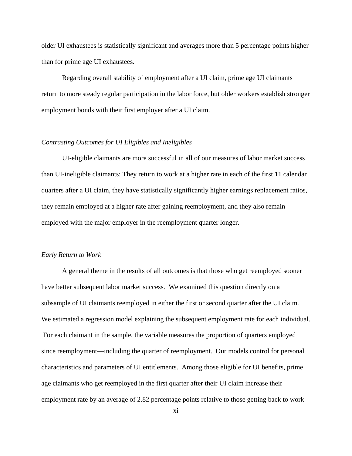older UI exhaustees is statistically significant and averages more than 5 percentage points higher than for prime age UI exhaustees.

Regarding overall stability of employment after a UI claim, prime age UI claimants return to more steady regular participation in the labor force, but older workers establish stronger employment bonds with their first employer after a UI claim.

#### *Contrasting Outcomes for UI Eligibles and Ineligibles*

UI-eligible claimants are more successful in all of our measures of labor market success than UI-ineligible claimants: They return to work at a higher rate in each of the first 11 calendar quarters after a UI claim, they have statistically significantly higher earnings replacement ratios, they remain employed at a higher rate after gaining reemployment, and they also remain employed with the major employer in the reemployment quarter longer.

#### *Early Return to Work*

A general theme in the results of all outcomes is that those who get reemployed sooner have better subsequent labor market success. We examined this question directly on a subsample of UI claimants reemployed in either the first or second quarter after the UI claim. We estimated a regression model explaining the subsequent employment rate for each individual. For each claimant in the sample, the variable measures the proportion of quarters employed since reemployment—including the quarter of reemployment. Our models control for personal characteristics and parameters of UI entitlements. Among those eligible for UI benefits, prime age claimants who get reemployed in the first quarter after their UI claim increase their employment rate by an average of 2.82 percentage points relative to those getting back to work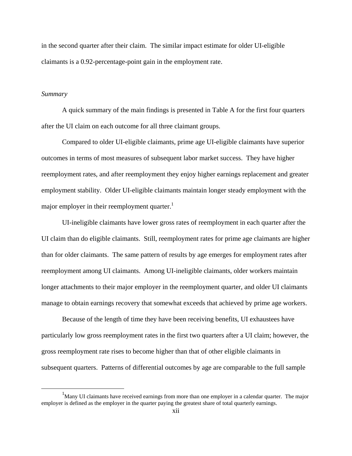in the second quarter after their claim. The similar impact estimate for older UI-eligible claimants is a 0.92-percentage-point gain in the employment rate.

#### *Summary*

A quick summary of the main findings is presented in Table A for the first four quarters after the UI claim on each outcome for all three claimant groups.

Compared to older UI-eligible claimants, prime age UI-eligible claimants have superior outcomes in terms of most measures of subsequent labor market success. They have higher reemployment rates, and after reemployment they enjoy higher earnings replacement and greater employment stability. Older UI-eligible claimants maintain longer steady employment with the major employer in their reemployment quarter.<sup>1</sup>

UI-ineligible claimants have lower gross rates of reemployment in each quarter after the UI claim than do eligible claimants. Still, reemployment rates for prime age claimants are higher than for older claimants. The same pattern of results by age emerges for employment rates after reemployment among UI claimants. Among UI-ineligible claimants, older workers maintain longer attachments to their major employer in the reemployment quarter, and older UI claimants manage to obtain earnings recovery that somewhat exceeds that achieved by prime age workers.

Because of the length of time they have been receiving benefits, UI exhaustees have particularly low gross reemployment rates in the first two quarters after a UI claim; however, the gross reemployment rate rises to become higher than that of other eligible claimants in subsequent quarters. Patterns of differential outcomes by age are comparable to the full sample

<sup>&</sup>lt;u>1</u>  $<sup>1</sup>$ Many UI claimants have received earnings from more than one employer in a calendar quarter. The major</sup> employer is defined as the employer in the quarter paying the greatest share of total quarterly earnings.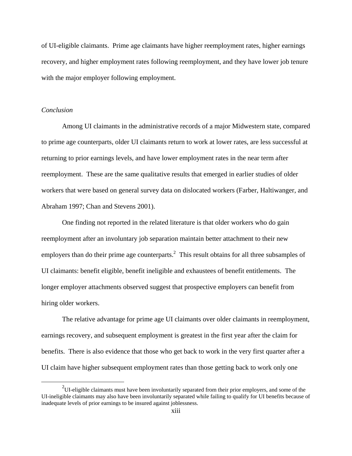of UI-eligible claimants. Prime age claimants have higher reemployment rates, higher earnings recovery, and higher employment rates following reemployment, and they have lower job tenure with the major employer following employment.

#### *Conclusion*

Among UI claimants in the administrative records of a major Midwestern state, compared to prime age counterparts, older UI claimants return to work at lower rates, are less successful at returning to prior earnings levels, and have lower employment rates in the near term after reemployment. These are the same qualitative results that emerged in earlier studies of older workers that were based on general survey data on dislocated workers (Farber, Haltiwanger, and Abraham 1997; Chan and Stevens 2001).

One finding not reported in the related literature is that older workers who do gain reemployment after an involuntary job separation maintain better attachment to their new employers than do their prime age counterparts.<sup>2</sup> This result obtains for all three subsamples of UI claimants: benefit eligible, benefit ineligible and exhaustees of benefit entitlements. The longer employer attachments observed suggest that prospective employers can benefit from hiring older workers.

The relative advantage for prime age UI claimants over older claimants in reemployment, earnings recovery, and subsequent employment is greatest in the first year after the claim for benefits. There is also evidence that those who get back to work in the very first quarter after a UI claim have higher subsequent employment rates than those getting back to work only one

 $\frac{1}{2}$ <sup>2</sup>UI-eligible claimants must have been involuntarily separated from their prior employers, and some of the UI-ineligible claimants may also have been involuntarily separated while failing to qualify for UI benefits because of inadequate levels of prior earnings to be insured against joblessness.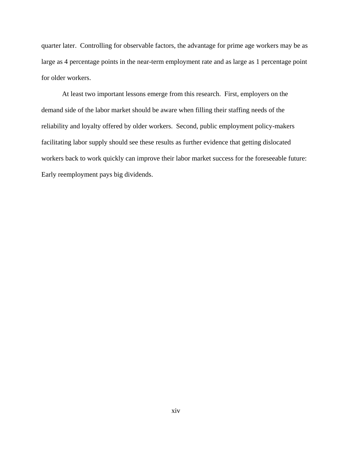quarter later. Controlling for observable factors, the advantage for prime age workers may be as large as 4 percentage points in the near-term employment rate and as large as 1 percentage point for older workers.

At least two important lessons emerge from this research. First, employers on the demand side of the labor market should be aware when filling their staffing needs of the reliability and loyalty offered by older workers. Second, public employment policy-makers facilitating labor supply should see these results as further evidence that getting dislocated workers back to work quickly can improve their labor market success for the foreseeable future: Early reemployment pays big dividends.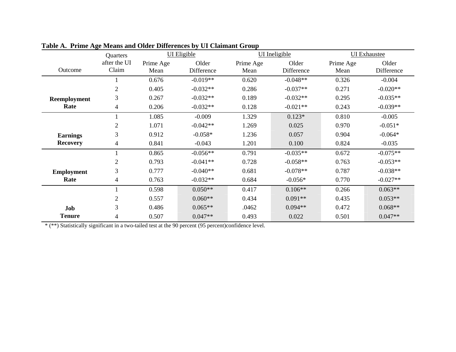|                   | Quarters              | UI Eligible       |                     | UI Ineligible     |                     | <b>UI</b> Exhaustee |                     |
|-------------------|-----------------------|-------------------|---------------------|-------------------|---------------------|---------------------|---------------------|
| Outcome           | after the UI<br>Claim | Prime Age<br>Mean | Older<br>Difference | Prime Age<br>Mean | Older<br>Difference | Prime Age<br>Mean   | Older<br>Difference |
|                   |                       | 0.676             | $-0.019**$          | 0.620             | $-0.048**$          | 0.326               | $-0.004$            |
|                   | $\overline{2}$        | 0.405             | $-0.032**$          | 0.286             | $-0.037**$          | 0.271               | $-0.020**$          |
| Reemployment      | 3                     | 0.267             | $-0.032**$          | 0.189             | $-0.032**$          | 0.295               | $-0.035**$          |
| Rate              | 4                     | 0.206             | $-0.032**$          | 0.128             | $-0.021**$          | 0.243               | $-0.039**$          |
|                   |                       | 1.085             | $-0.009$            | 1.329             | $0.123*$            | 0.810               | $-0.005$            |
|                   | $\overline{2}$        | 1.071             | $-0.042**$          | 1.269             | 0.025               | 0.970               | $-0.051*$           |
| <b>Earnings</b>   | 3                     | 0.912             | $-0.058*$           | 1.236             | 0.057               | 0.904               | $-0.064*$           |
| <b>Recovery</b>   | 4                     | 0.841             | $-0.043$            | 1.201             | 0.100               | 0.824               | $-0.035$            |
|                   |                       | 0.865             | $-0.056**$          | 0.791             | $-0.035**$          | 0.672               | $-0.075**$          |
|                   | $\overline{2}$        | 0.793             | $-0.041**$          | 0.728             | $-0.058**$          | 0.763               | $-0.053**$          |
| <b>Employment</b> | 3                     | 0.777             | $-0.040**$          | 0.681             | $-0.078**$          | 0.787               | $-0.038**$          |
| Rate              | 4                     | 0.763             | $-0.032**$          | 0.684             | $-0.056*$           | 0.770               | $-0.027**$          |
|                   |                       | 0.598             | $0.050**$           | 0.417             | $0.106**$           | 0.266               | $0.063**$           |
|                   | $\overline{2}$        | 0.557             | $0.060**$           | 0.434             | $0.091**$           | 0.435               | $0.053**$           |
| Job               | 3                     | 0.486             | $0.065**$           | .0462             | $0.094**$           | 0.472               | $0.068**$           |
| <b>Tenure</b>     | 4                     | 0.507             | $0.047**$           | 0.493             | 0.022               | 0.501               | $0.047**$           |

**Table A. Prime Age Means and Older Differences by UI Claimant Group** 

\* (\*\*) Statistically significant in a two-tailed test at the 90 percent (95 percent)confidence level.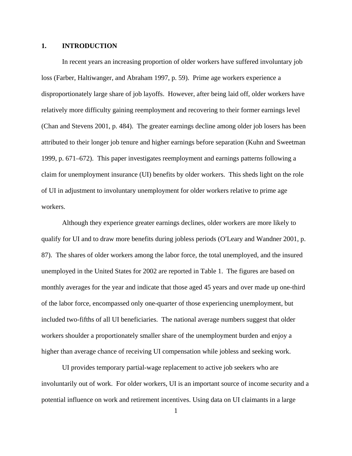#### **1. INTRODUCTION**

In recent years an increasing proportion of older workers have suffered involuntary job loss (Farber, Haltiwanger, and Abraham 1997, p. 59). Prime age workers experience a disproportionately large share of job layoffs. However, after being laid off, older workers have relatively more difficulty gaining reemployment and recovering to their former earnings level (Chan and Stevens 2001, p. 484). The greater earnings decline among older job losers has been attributed to their longer job tenure and higher earnings before separation (Kuhn and Sweetman 1999, p. 671–672). This paper investigates reemployment and earnings patterns following a claim for unemployment insurance (UI) benefits by older workers. This sheds light on the role of UI in adjustment to involuntary unemployment for older workers relative to prime age workers.

Although they experience greater earnings declines, older workers are more likely to qualify for UI and to draw more benefits during jobless periods (O'Leary and Wandner 2001, p. 87). The shares of older workers among the labor force, the total unemployed, and the insured unemployed in the United States for 2002 are reported in Table 1. The figures are based on monthly averages for the year and indicate that those aged 45 years and over made up one-third of the labor force, encompassed only one-quarter of those experiencing unemployment, but included two-fifths of all UI beneficiaries. The national average numbers suggest that older workers shoulder a proportionately smaller share of the unemployment burden and enjoy a higher than average chance of receiving UI compensation while jobless and seeking work.

UI provides temporary partial-wage replacement to active job seekers who are involuntarily out of work. For older workers, UI is an important source of income security and a potential influence on work and retirement incentives. Using data on UI claimants in a large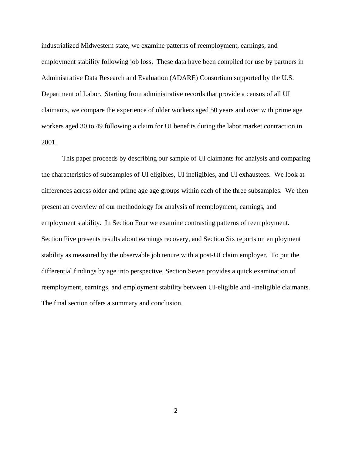industrialized Midwestern state, we examine patterns of reemployment, earnings, and employment stability following job loss. These data have been compiled for use by partners in Administrative Data Research and Evaluation (ADARE) Consortium supported by the U.S. Department of Labor. Starting from administrative records that provide a census of all UI claimants, we compare the experience of older workers aged 50 years and over with prime age workers aged 30 to 49 following a claim for UI benefits during the labor market contraction in 2001.

This paper proceeds by describing our sample of UI claimants for analysis and comparing the characteristics of subsamples of UI eligibles, UI ineligibles, and UI exhaustees. We look at differences across older and prime age age groups within each of the three subsamples. We then present an overview of our methodology for analysis of reemployment, earnings, and employment stability. In Section Four we examine contrasting patterns of reemployment. Section Five presents results about earnings recovery, and Section Six reports on employment stability as measured by the observable job tenure with a post-UI claim employer. To put the differential findings by age into perspective, Section Seven provides a quick examination of reemployment, earnings, and employment stability between UI-eligible and -ineligible claimants. The final section offers a summary and conclusion.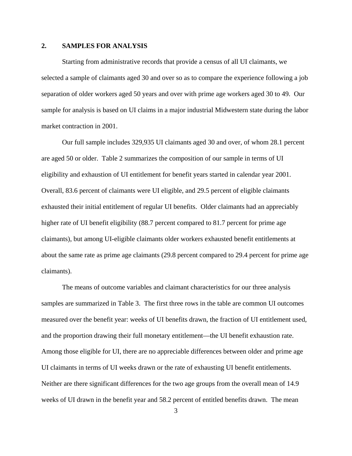#### **2. SAMPLES FOR ANALYSIS**

Starting from administrative records that provide a census of all UI claimants, we selected a sample of claimants aged 30 and over so as to compare the experience following a job separation of older workers aged 50 years and over with prime age workers aged 30 to 49. Our sample for analysis is based on UI claims in a major industrial Midwestern state during the labor market contraction in 2001.

Our full sample includes 329,935 UI claimants aged 30 and over, of whom 28.1 percent are aged 50 or older. Table 2 summarizes the composition of our sample in terms of UI eligibility and exhaustion of UI entitlement for benefit years started in calendar year 2001. Overall, 83.6 percent of claimants were UI eligible, and 29.5 percent of eligible claimants exhausted their initial entitlement of regular UI benefits. Older claimants had an appreciably higher rate of UI benefit eligibility (88.7 percent compared to 81.7 percent for prime age claimants), but among UI-eligible claimants older workers exhausted benefit entitlements at about the same rate as prime age claimants (29.8 percent compared to 29.4 percent for prime age claimants).

The means of outcome variables and claimant characteristics for our three analysis samples are summarized in Table 3. The first three rows in the table are common UI outcomes measured over the benefit year: weeks of UI benefits drawn, the fraction of UI entitlement used, and the proportion drawing their full monetary entitlement—the UI benefit exhaustion rate. Among those eligible for UI, there are no appreciable differences between older and prime age UI claimants in terms of UI weeks drawn or the rate of exhausting UI benefit entitlements. Neither are there significant differences for the two age groups from the overall mean of 14.9 weeks of UI drawn in the benefit year and 58.2 percent of entitled benefits drawn. The mean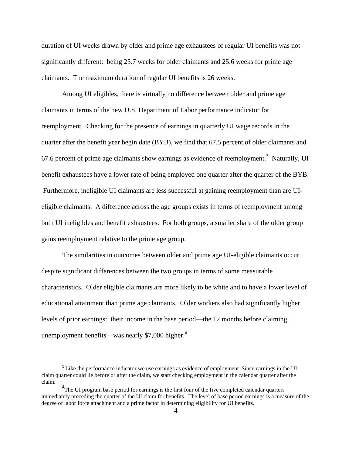duration of UI weeks drawn by older and prime age exhaustees of regular UI benefits was not significantly different: being 25.7 weeks for older claimants and 25.6 weeks for prime age claimants. The maximum duration of regular UI benefits is 26 weeks.

Among UI eligibles, there is virtually no difference between older and prime age claimants in terms of the new U.S. Department of Labor performance indicator for reemployment. Checking for the presence of earnings in quarterly UI wage records in the quarter after the benefit year begin date (BYB), we find that 67.5 percent of older claimants and 67.6 percent of prime age claimants show earnings as evidence of reemployment.<sup>3</sup> Naturally, UI benefit exhaustees have a lower rate of being employed one quarter after the quarter of the BYB. Furthermore, ineligible UI claimants are less successful at gaining reemployment than are UIeligible claimants. A difference across the age groups exists in terms of reemployment among both UI ineligibles and benefit exhaustees. For both groups, a smaller share of the older group gains reemployment relative to the prime age group.

The similarities in outcomes between older and prime age UI-eligible claimants occur despite significant differences between the two groups in terms of some measurable characteristics. Older eligible claimants are more likely to be white and to have a lower level of educational attainment than prime age claimants. Older workers also had significantly higher levels of prior earnings: their income in the base period—the 12 months before claiming unemployment benefits—was nearly \$7,000 higher. $4$ 

 $\frac{1}{3}$ <sup>3</sup> Like the performance indicator we use earnings as evidence of employment. Since earnings in the UI claim quarter could lie before or after the claim, we start checking employment in the calendar quarter after the claim.

 $^{4}$ The UI program base period for earnings is the first four of the five completed calendar quarters immediately preceding the quarter of the UI claim for benefits. The level of base period earnings is a measure of the degree of labor force attachment and a prime factor in determining eligibility for UI benefits.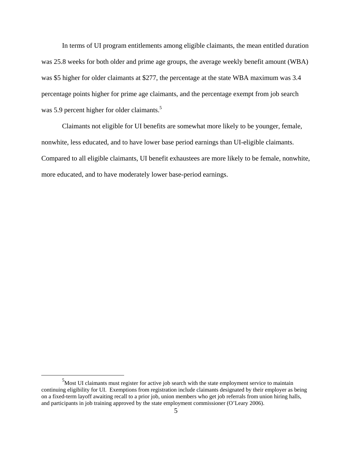In terms of UI program entitlements among eligible claimants, the mean entitled duration was 25.8 weeks for both older and prime age groups, the average weekly benefit amount (WBA) was \$5 higher for older claimants at \$277, the percentage at the state WBA maximum was 3.4 percentage points higher for prime age claimants, and the percentage exempt from job search was 5.9 percent higher for older claimants.<sup>5</sup>

Claimants not eligible for UI benefits are somewhat more likely to be younger, female, nonwhite, less educated, and to have lower base period earnings than UI-eligible claimants. Compared to all eligible claimants, UI benefit exhaustees are more likely to be female, nonwhite, more educated, and to have moderately lower base-period earnings.

 $\frac{1}{5}$  $<sup>5</sup>$ Most UI claimants must register for active job search with the state employment service to maintain</sup> continuing eligibility for UI. Exemptions from registration include claimants designated by their employer as being on a fixed-term layoff awaiting recall to a prior job, union members who get job referrals from union hiring halls, and participants in job training approved by the state employment commissioner (O'Leary 2006).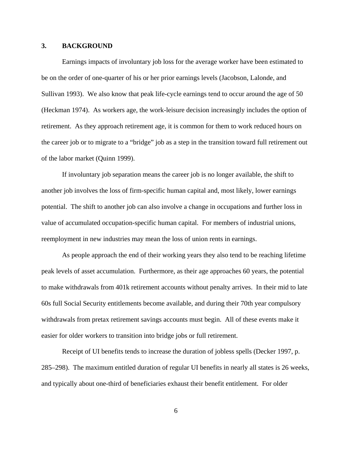#### **3. BACKGROUND**

Earnings impacts of involuntary job loss for the average worker have been estimated to be on the order of one-quarter of his or her prior earnings levels (Jacobson, Lalonde, and Sullivan 1993). We also know that peak life-cycle earnings tend to occur around the age of 50 (Heckman 1974). As workers age, the work-leisure decision increasingly includes the option of retirement. As they approach retirement age, it is common for them to work reduced hours on the career job or to migrate to a "bridge" job as a step in the transition toward full retirement out of the labor market (Quinn 1999).

If involuntary job separation means the career job is no longer available, the shift to another job involves the loss of firm-specific human capital and, most likely, lower earnings potential. The shift to another job can also involve a change in occupations and further loss in value of accumulated occupation-specific human capital. For members of industrial unions, reemployment in new industries may mean the loss of union rents in earnings.

As people approach the end of their working years they also tend to be reaching lifetime peak levels of asset accumulation. Furthermore, as their age approaches 60 years, the potential to make withdrawals from 401k retirement accounts without penalty arrives. In their mid to late 60s full Social Security entitlements become available, and during their 70th year compulsory withdrawals from pretax retirement savings accounts must begin. All of these events make it easier for older workers to transition into bridge jobs or full retirement.

Receipt of UI benefits tends to increase the duration of jobless spells (Decker 1997, p. 285–298). The maximum entitled duration of regular UI benefits in nearly all states is 26 weeks, and typically about one-third of beneficiaries exhaust their benefit entitlement. For older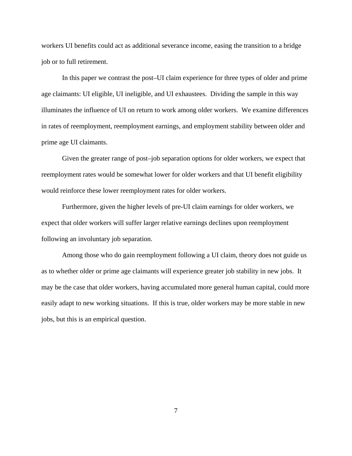workers UI benefits could act as additional severance income, easing the transition to a bridge job or to full retirement.

In this paper we contrast the post–UI claim experience for three types of older and prime age claimants: UI eligible, UI ineligible, and UI exhaustees. Dividing the sample in this way illuminates the influence of UI on return to work among older workers. We examine differences in rates of reemployment, reemployment earnings, and employment stability between older and prime age UI claimants.

Given the greater range of post–job separation options for older workers, we expect that reemployment rates would be somewhat lower for older workers and that UI benefit eligibility would reinforce these lower reemployment rates for older workers.

Furthermore, given the higher levels of pre-UI claim earnings for older workers, we expect that older workers will suffer larger relative earnings declines upon reemployment following an involuntary job separation.

Among those who do gain reemployment following a UI claim, theory does not guide us as to whether older or prime age claimants will experience greater job stability in new jobs. It may be the case that older workers, having accumulated more general human capital, could more easily adapt to new working situations. If this is true, older workers may be more stable in new jobs, but this is an empirical question.

7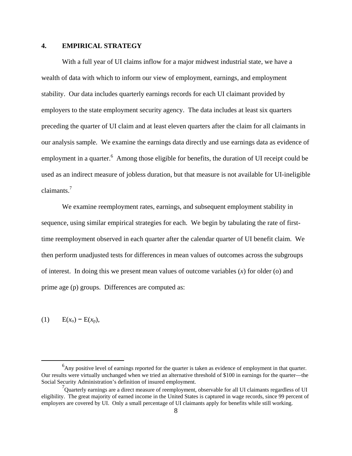### **4. EMPIRICAL STRATEGY**

With a full year of UI claims inflow for a major midwest industrial state, we have a wealth of data with which to inform our view of employment, earnings, and employment stability. Our data includes quarterly earnings records for each UI claimant provided by employers to the state employment security agency. The data includes at least six quarters preceding the quarter of UI claim and at least eleven quarters after the claim for all claimants in our analysis sample. We examine the earnings data directly and use earnings data as evidence of employment in a quarter. <sup>6</sup> Among those eligible for benefits, the duration of UI receipt could be used as an indirect measure of jobless duration, but that measure is not available for UI-ineligible claimants.<sup>7</sup>

We examine reemployment rates, earnings, and subsequent employment stability in sequence, using similar empirical strategies for each. We begin by tabulating the rate of firsttime reemployment observed in each quarter after the calendar quarter of UI benefit claim. We then perform unadjusted tests for differences in mean values of outcomes across the subgroups of interest. In doing this we present mean values of outcome variables (*x*) for older (o) and prime age (p) groups. Differences are computed as:

(1)  $E(x<sub>o</sub>) − E(x<sub>p</sub>)$ ,

 $\begin{array}{c|c}\n\hline\n\end{array}$  $<sup>6</sup>$ Any positive level of earnings reported for the quarter is taken as evidence of employment in that quarter.</sup> Our results were virtually unchanged when we tried an alternative threshold of \$100 in earnings for the quarter—the Social Security Administration's definition of insured employment.

 $7$ Quarterly earnings are a direct measure of reemployment, observable for all UI claimants regardless of UI eligibility. The great majority of earned income in the United States is captured in wage records, since 99 percent of employers are covered by UI. Only a small percentage of UI claimants apply for benefits while still working.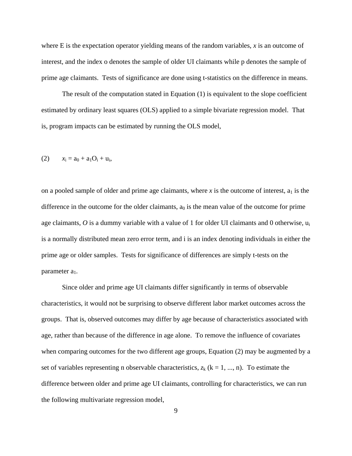where E is the expectation operator yielding means of the random variables, *x* is an outcome of interest, and the index o denotes the sample of older UI claimants while p denotes the sample of prime age claimants. Tests of significance are done using t-statistics on the difference in means.

The result of the computation stated in Equation (1) is equivalent to the slope coefficient estimated by ordinary least squares (OLS) applied to a simple bivariate regression model. That is, program impacts can be estimated by running the OLS model,

(2) 
$$
x_i = a_0 + a_1O_i + u_i
$$
,

on a pooled sample of older and prime age claimants, where x is the outcome of interest,  $a_1$  is the difference in the outcome for the older claimants,  $a_0$  is the mean value of the outcome for prime age claimants,  $O$  is a dummy variable with a value of 1 for older UI claimants and 0 otherwise,  $u_i$ is a normally distributed mean zero error term, and i is an index denoting individuals in either the prime age or older samples. Tests for significance of differences are simply t-tests on the parameter a<sub>1</sub>.

Since older and prime age UI claimants differ significantly in terms of observable characteristics, it would not be surprising to observe different labor market outcomes across the groups. That is, observed outcomes may differ by age because of characteristics associated with age, rather than because of the difference in age alone. To remove the influence of covariates when comparing outcomes for the two different age groups, Equation (2) may be augmented by a set of variables representing n observable characteristics,  $z_k$  ( $k = 1, ..., n$ ). To estimate the difference between older and prime age UI claimants, controlling for characteristics, we can run the following multivariate regression model,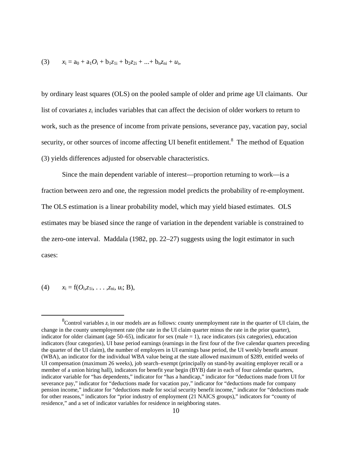(3) 
$$
x_i = a_0 + a_1O_i + b_1z_{1i} + b_2z_{2i} + ... + b_nz_{ni} + u_i
$$

by ordinary least squares (OLS) on the pooled sample of older and prime age UI claimants. Our list of covariates  $z_i$  includes variables that can affect the decision of older workers to return to work, such as the presence of income from private pensions, severance pay, vacation pay, social security, or other sources of income affecting UI benefit entitlement.<sup>8</sup> The method of Equation (3) yields differences adjusted for observable characteristics.

Since the main dependent variable of interest—proportion returning to work—is a fraction between zero and one, the regression model predicts the probability of re-employment. The OLS estimation is a linear probability model, which may yield biased estimates. OLS estimates may be biased since the range of variation in the dependent variable is constrained to the zero-one interval. Maddala (1982, pp. 22–27) suggests using the logit estimator in such cases:

### (4)  $x_i = f(O_i, z_{1i}, \ldots, z_{ni}, u_i; B),$

 <sup>8</sup> <sup>8</sup>Control variables  $z_i$  in our models are as follows: county unemployment rate in the quarter of UI claim, the change in the county unemployment rate (the rate in the UI claim quarter minus the rate in the prior quarter), indicator for older claimant (age 50–65), indicator for sex (male  $= 1$ ), race indicators (six categories), education indicators (four categories), UI base period earnings (earnings in the first four of the five calendar quarters preceding the quarter of the UI claim), the number of employers in UI earnings base period, the UI weekly benefit amount (WBA), an indicator for the individual WBA value being at the state allowed maximum of \$289, entitled weeks of UI compensation (maximum 26 weeks), job search–exempt (principally on stand-by awaiting employer recall or a member of a union hiring hall), indicators for benefit year begin (BYB) date in each of four calendar quarters, indicator variable for "has dependents," indicator for "has a handicap," indicator for "deductions made from UI for severance pay," indicator for "deductions made for vacation pay," indicator for "deductions made for company pension income," indicator for "deductions made for social security benefit income," indicator for "deductions made for other reasons," indicators for "prior industry of employment (21 NAICS groups)," indicators for "county of residence," and a set of indicator variables for residence in neighboring states.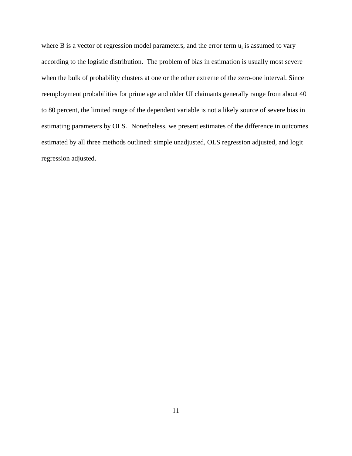where B is a vector of regression model parameters, and the error term  $u_i$  is assumed to vary according to the logistic distribution. The problem of bias in estimation is usually most severe when the bulk of probability clusters at one or the other extreme of the zero-one interval. Since reemployment probabilities for prime age and older UI claimants generally range from about 40 to 80 percent, the limited range of the dependent variable is not a likely source of severe bias in estimating parameters by OLS. Nonetheless, we present estimates of the difference in outcomes estimated by all three methods outlined: simple unadjusted, OLS regression adjusted, and logit regression adjusted.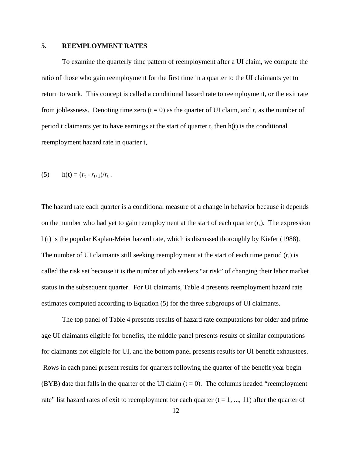#### **5. REEMPLOYMENT RATES**

To examine the quarterly time pattern of reemployment after a UI claim, we compute the ratio of those who gain reemployment for the first time in a quarter to the UI claimants yet to return to work. This concept is called a conditional hazard rate to reemployment, or the exit rate from joblessness. Denoting time zero  $(t = 0)$  as the quarter of UI claim, and  $r_t$  as the number of period t claimants yet to have earnings at the start of quarter t, then h(t) is the conditional reemployment hazard rate in quarter t,

(5) 
$$
h(t) = (r_t - r_{t+1})/r_t
$$
.

The hazard rate each quarter is a conditional measure of a change in behavior because it depends on the number who had yet to gain reemployment at the start of each quarter  $(r<sub>t</sub>)$ . The expression h(t) is the popular Kaplan-Meier hazard rate, which is discussed thoroughly by Kiefer (1988). The number of UI claimants still seeking reemployment at the start of each time period  $(r_t)$  is called the risk set because it is the number of job seekers "at risk" of changing their labor market status in the subsequent quarter. For UI claimants, Table 4 presents reemployment hazard rate estimates computed according to Equation (5) for the three subgroups of UI claimants.

The top panel of Table 4 presents results of hazard rate computations for older and prime age UI claimants eligible for benefits, the middle panel presents results of similar computations for claimants not eligible for UI, and the bottom panel presents results for UI benefit exhaustees. Rows in each panel present results for quarters following the quarter of the benefit year begin (BYB) date that falls in the quarter of the UI claim  $(t = 0)$ . The columns headed "reemployment" rate" list hazard rates of exit to reemployment for each quarter  $(t = 1, ..., 11)$  after the quarter of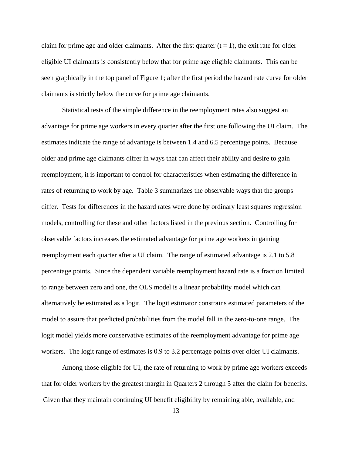claim for prime age and older claimants. After the first quarter  $(t = 1)$ , the exit rate for older eligible UI claimants is consistently below that for prime age eligible claimants. This can be seen graphically in the top panel of Figure 1; after the first period the hazard rate curve for older claimants is strictly below the curve for prime age claimants.

Statistical tests of the simple difference in the reemployment rates also suggest an advantage for prime age workers in every quarter after the first one following the UI claim. The estimates indicate the range of advantage is between 1.4 and 6.5 percentage points. Because older and prime age claimants differ in ways that can affect their ability and desire to gain reemployment, it is important to control for characteristics when estimating the difference in rates of returning to work by age. Table 3 summarizes the observable ways that the groups differ. Tests for differences in the hazard rates were done by ordinary least squares regression models, controlling for these and other factors listed in the previous section. Controlling for observable factors increases the estimated advantage for prime age workers in gaining reemployment each quarter after a UI claim. The range of estimated advantage is 2.1 to 5.8 percentage points. Since the dependent variable reemployment hazard rate is a fraction limited to range between zero and one, the OLS model is a linear probability model which can alternatively be estimated as a logit. The logit estimator constrains estimated parameters of the model to assure that predicted probabilities from the model fall in the zero-to-one range. The logit model yields more conservative estimates of the reemployment advantage for prime age workers. The logit range of estimates is 0.9 to 3.2 percentage points over older UI claimants.

Among those eligible for UI, the rate of returning to work by prime age workers exceeds that for older workers by the greatest margin in Quarters 2 through 5 after the claim for benefits. Given that they maintain continuing UI benefit eligibility by remaining able, available, and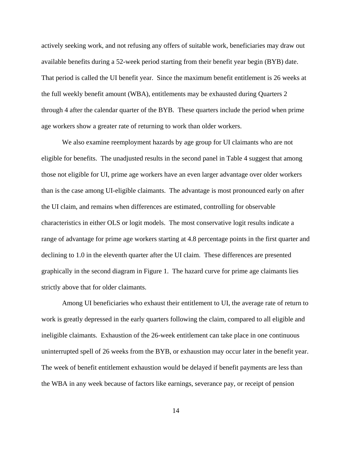actively seeking work, and not refusing any offers of suitable work, beneficiaries may draw out available benefits during a 52-week period starting from their benefit year begin (BYB) date. That period is called the UI benefit year. Since the maximum benefit entitlement is 26 weeks at the full weekly benefit amount (WBA), entitlements may be exhausted during Quarters 2 through 4 after the calendar quarter of the BYB. These quarters include the period when prime age workers show a greater rate of returning to work than older workers.

We also examine reemployment hazards by age group for UI claimants who are not eligible for benefits. The unadjusted results in the second panel in Table 4 suggest that among those not eligible for UI, prime age workers have an even larger advantage over older workers than is the case among UI-eligible claimants. The advantage is most pronounced early on after the UI claim, and remains when differences are estimated, controlling for observable characteristics in either OLS or logit models. The most conservative logit results indicate a range of advantage for prime age workers starting at 4.8 percentage points in the first quarter and declining to 1.0 in the eleventh quarter after the UI claim. These differences are presented graphically in the second diagram in Figure 1. The hazard curve for prime age claimants lies strictly above that for older claimants.

Among UI beneficiaries who exhaust their entitlement to UI, the average rate of return to work is greatly depressed in the early quarters following the claim, compared to all eligible and ineligible claimants. Exhaustion of the 26-week entitlement can take place in one continuous uninterrupted spell of 26 weeks from the BYB, or exhaustion may occur later in the benefit year. The week of benefit entitlement exhaustion would be delayed if benefit payments are less than the WBA in any week because of factors like earnings, severance pay, or receipt of pension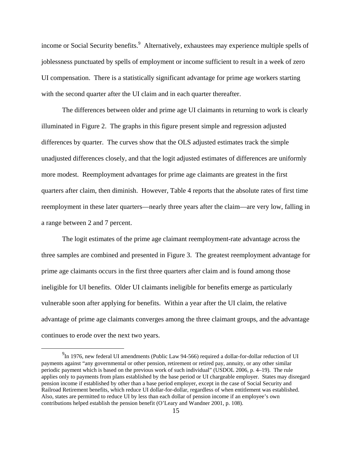income or Social Security benefits.<sup>9</sup> Alternatively, exhaustees may experience multiple spells of joblessness punctuated by spells of employment or income sufficient to result in a week of zero UI compensation. There is a statistically significant advantage for prime age workers starting with the second quarter after the UI claim and in each quarter thereafter.

The differences between older and prime age UI claimants in returning to work is clearly illuminated in Figure 2. The graphs in this figure present simple and regression adjusted differences by quarter. The curves show that the OLS adjusted estimates track the simple unadjusted differences closely, and that the logit adjusted estimates of differences are uniformly more modest. Reemployment advantages for prime age claimants are greatest in the first quarters after claim, then diminish. However, Table 4 reports that the absolute rates of first time reemployment in these later quarters—nearly three years after the claim—are very low, falling in a range between 2 and 7 percent.

The logit estimates of the prime age claimant reemployment-rate advantage across the three samples are combined and presented in Figure 3. The greatest reemployment advantage for prime age claimants occurs in the first three quarters after claim and is found among those ineligible for UI benefits. Older UI claimants ineligible for benefits emerge as particularly vulnerable soon after applying for benefits. Within a year after the UI claim, the relative advantage of prime age claimants converges among the three claimant groups, and the advantage continues to erode over the next two years.

 <sup>9</sup>  $^{9}$ In 1976, new federal UI amendments (Public Law 94-566) required a dollar-for-dollar reduction of UI payments against "any governmental or other pension, retirement or retired pay, annuity, or any other similar periodic payment which is based on the previous work of such individual" (USDOL 2006, p. 4–19). The rule applies only to payments from plans established by the base period or UI chargeable employer. States may disregard pension income if established by other than a base period employer, except in the case of Social Security and Railroad Retirement benefits, which reduce UI dollar-for-dollar, regardless of when entitlement was established. Also, states are permitted to reduce UI by less than each dollar of pension income if an employee's own contributions helped establish the pension benefit (O'Leary and Wandner 2001, p. 108).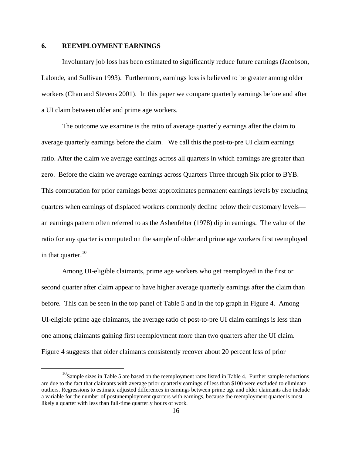#### **6. REEMPLOYMENT EARNINGS**

Involuntary job loss has been estimated to significantly reduce future earnings (Jacobson, Lalonde, and Sullivan 1993). Furthermore, earnings loss is believed to be greater among older workers (Chan and Stevens 2001). In this paper we compare quarterly earnings before and after a UI claim between older and prime age workers.

The outcome we examine is the ratio of average quarterly earnings after the claim to average quarterly earnings before the claim. We call this the post-to-pre UI claim earnings ratio. After the claim we average earnings across all quarters in which earnings are greater than zero. Before the claim we average earnings across Quarters Three through Six prior to BYB. This computation for prior earnings better approximates permanent earnings levels by excluding quarters when earnings of displaced workers commonly decline below their customary levels an earnings pattern often referred to as the Ashenfelter (1978) dip in earnings. The value of the ratio for any quarter is computed on the sample of older and prime age workers first reemployed in that quarter. $10$ 

Among UI-eligible claimants, prime age workers who get reemployed in the first or second quarter after claim appear to have higher average quarterly earnings after the claim than before. This can be seen in the top panel of Table 5 and in the top graph in Figure 4. Among UI-eligible prime age claimants, the average ratio of post-to-pre UI claim earnings is less than one among claimants gaining first reemployment more than two quarters after the UI claim. Figure 4 suggests that older claimants consistently recover about 20 percent less of prior

 $10$ Sample sizes in Table 5 are based on the reemployment rates listed in Table 4. Further sample reductions are due to the fact that claimants with average prior quarterly earnings of less than \$100 were excluded to eliminate outliers. Regressions to estimate adjusted differences in earnings between prime age and older claimants also include a variable for the number of postunemployment quarters with earnings, because the reemployment quarter is most likely a quarter with less than full-time quarterly hours of work.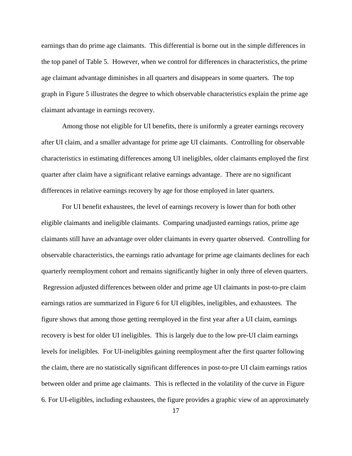earnings than do prime age claimants. This differential is borne out in the simple differences in the top panel of Table 5. However, when we control for differences in characteristics, the prime age claimant advantage diminishes in all quarters and disappears in some quarters. The top graph in Figure 5 illustrates the degree to which observable characteristics explain the prime age claimant advantage in earnings recovery.

Among those not eligible for UI benefits, there is uniformly a greater earnings recovery after UI claim, and a smaller advantage for prime age UI claimants. Controlling for observable characteristics in estimating differences among UI ineligibles, older claimants employed the first quarter after claim have a significant relative earnings advantage. There are no significant differences in relative earnings recovery by age for those employed in later quarters.

For UI benefit exhaustees, the level of earnings recovery is lower than for both other eligible claimants and ineligible claimants. Comparing unadjusted earnings ratios, prime age claimants still have an advantage over older claimants in every quarter observed. Controlling for observable characteristics, the earnings ratio advantage for prime age claimants declines for each quarterly reemployment cohort and remains significantly higher in only three of eleven quarters. Regression adjusted differences between older and prime age UI claimants in post-to-pre claim earnings ratios are summarized in Figure 6 for UI eligibles, ineligibles, and exhaustees. The figure shows that among those getting reemployed in the first year after a UI claim, earnings recovery is best for older UI ineligibles. This is largely due to the low pre-UI claim earnings levels for ineligibles. For UI-ineligibles gaining reemployment after the first quarter following the claim, there are no statistically significant differences in post-to-pre UI claim earnings ratios between older and prime age claimants. This is reflected in the volatility of the curve in Figure 6. For UI-eligibles, including exhaustees, the figure provides a graphic view of an approximately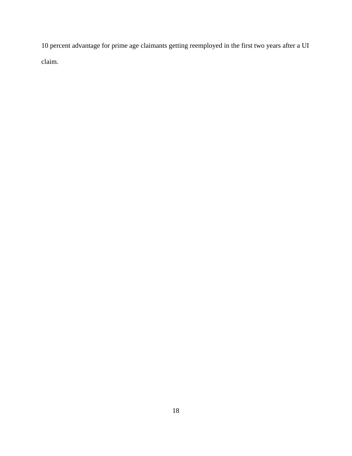10 percent advantage for prime age claimants getting reemployed in the first two years after a UI claim.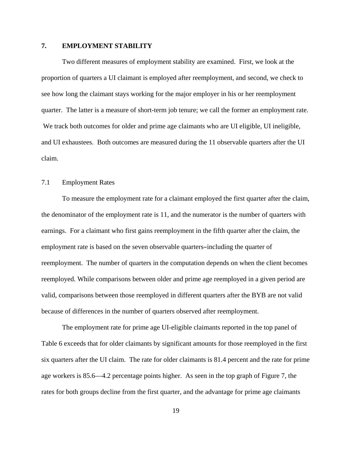#### **7. EMPLOYMENT STABILITY**

Two different measures of employment stability are examined. First, we look at the proportion of quarters a UI claimant is employed after reemployment, and second, we check to see how long the claimant stays working for the major employer in his or her reemployment quarter. The latter is a measure of short-term job tenure; we call the former an employment rate. We track both outcomes for older and prime age claimants who are UI eligible, UI ineligible, and UI exhaustees. Both outcomes are measured during the 11 observable quarters after the UI claim.

#### 7.1 Employment Rates

To measure the employment rate for a claimant employed the first quarter after the claim, the denominator of the employment rate is 11, and the numerator is the number of quarters with earnings. For a claimant who first gains reemployment in the fifth quarter after the claim, the employment rate is based on the seven observable quarters-including the quarter of reemployment. The number of quarters in the computation depends on when the client becomes reemployed. While comparisons between older and prime age reemployed in a given period are valid, comparisons between those reemployed in different quarters after the BYB are not valid because of differences in the number of quarters observed after reemployment.

The employment rate for prime age UI-eligible claimants reported in the top panel of Table 6 exceeds that for older claimants by significant amounts for those reemployed in the first six quarters after the UI claim. The rate for older claimants is 81.4 percent and the rate for prime age workers is 85.6—4.2 percentage points higher. As seen in the top graph of Figure 7, the rates for both groups decline from the first quarter, and the advantage for prime age claimants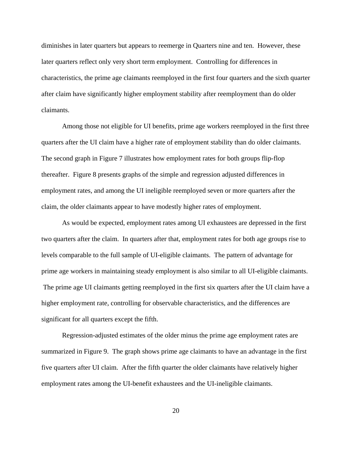diminishes in later quarters but appears to reemerge in Quarters nine and ten. However, these later quarters reflect only very short term employment. Controlling for differences in characteristics, the prime age claimants reemployed in the first four quarters and the sixth quarter after claim have significantly higher employment stability after reemployment than do older claimants.

Among those not eligible for UI benefits, prime age workers reemployed in the first three quarters after the UI claim have a higher rate of employment stability than do older claimants. The second graph in Figure 7 illustrates how employment rates for both groups flip-flop thereafter. Figure 8 presents graphs of the simple and regression adjusted differences in employment rates, and among the UI ineligible reemployed seven or more quarters after the claim, the older claimants appear to have modestly higher rates of employment.

As would be expected, employment rates among UI exhaustees are depressed in the first two quarters after the claim. In quarters after that, employment rates for both age groups rise to levels comparable to the full sample of UI-eligible claimants. The pattern of advantage for prime age workers in maintaining steady employment is also similar to all UI-eligible claimants. The prime age UI claimants getting reemployed in the first six quarters after the UI claim have a higher employment rate, controlling for observable characteristics, and the differences are significant for all quarters except the fifth.

Regression-adjusted estimates of the older minus the prime age employment rates are summarized in Figure 9. The graph shows prime age claimants to have an advantage in the first five quarters after UI claim. After the fifth quarter the older claimants have relatively higher employment rates among the UI-benefit exhaustees and the UI-ineligible claimants.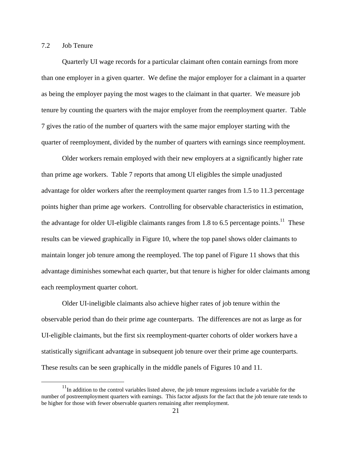### 7.2 Job Tenure

Quarterly UI wage records for a particular claimant often contain earnings from more than one employer in a given quarter. We define the major employer for a claimant in a quarter as being the employer paying the most wages to the claimant in that quarter. We measure job tenure by counting the quarters with the major employer from the reemployment quarter. Table 7 gives the ratio of the number of quarters with the same major employer starting with the quarter of reemployment, divided by the number of quarters with earnings since reemployment.

Older workers remain employed with their new employers at a significantly higher rate than prime age workers. Table 7 reports that among UI eligibles the simple unadjusted advantage for older workers after the reemployment quarter ranges from 1.5 to 11.3 percentage points higher than prime age workers. Controlling for observable characteristics in estimation, the advantage for older UI-eligible claimants ranges from 1.8 to 6.5 percentage points.<sup>11</sup> These results can be viewed graphically in Figure 10, where the top panel shows older claimants to maintain longer job tenure among the reemployed. The top panel of Figure 11 shows that this advantage diminishes somewhat each quarter, but that tenure is higher for older claimants among each reemployment quarter cohort.

Older UI-ineligible claimants also achieve higher rates of job tenure within the observable period than do their prime age counterparts. The differences are not as large as for UI-eligible claimants, but the first six reemployment-quarter cohorts of older workers have a statistically significant advantage in subsequent job tenure over their prime age counterparts. These results can be seen graphically in the middle panels of Figures 10 and 11.

 $11$ In addition to the control variables listed above, the job tenure regressions include a variable for the number of postreemployment quarters with earnings. This factor adjusts for the fact that the job tenure rate tends to be higher for those with fewer observable quarters remaining after reemployment.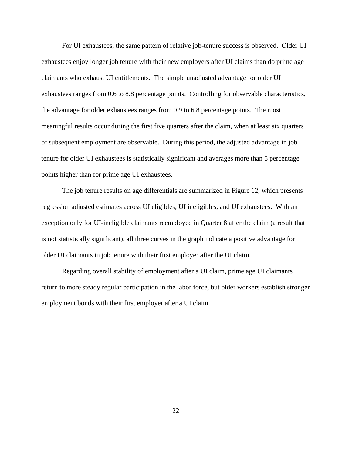For UI exhaustees, the same pattern of relative job-tenure success is observed. Older UI exhaustees enjoy longer job tenure with their new employers after UI claims than do prime age claimants who exhaust UI entitlements. The simple unadjusted advantage for older UI exhaustees ranges from 0.6 to 8.8 percentage points. Controlling for observable characteristics, the advantage for older exhaustees ranges from 0.9 to 6.8 percentage points. The most meaningful results occur during the first five quarters after the claim, when at least six quarters of subsequent employment are observable. During this period, the adjusted advantage in job tenure for older UI exhaustees is statistically significant and averages more than 5 percentage points higher than for prime age UI exhaustees.

The job tenure results on age differentials are summarized in Figure 12, which presents regression adjusted estimates across UI eligibles, UI ineligibles, and UI exhaustees. With an exception only for UI-ineligible claimants reemployed in Quarter 8 after the claim (a result that is not statistically significant), all three curves in the graph indicate a positive advantage for older UI claimants in job tenure with their first employer after the UI claim.

Regarding overall stability of employment after a UI claim, prime age UI claimants return to more steady regular participation in the labor force, but older workers establish stronger employment bonds with their first employer after a UI claim.

22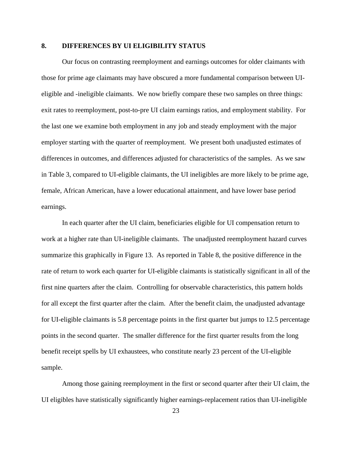# **8. DIFFERENCES BY UI ELIGIBILITY STATUS**

Our focus on contrasting reemployment and earnings outcomes for older claimants with those for prime age claimants may have obscured a more fundamental comparison between UIeligible and -ineligible claimants. We now briefly compare these two samples on three things: exit rates to reemployment, post-to-pre UI claim earnings ratios, and employment stability. For the last one we examine both employment in any job and steady employment with the major employer starting with the quarter of reemployment. We present both unadjusted estimates of differences in outcomes, and differences adjusted for characteristics of the samples. As we saw in Table 3, compared to UI-eligible claimants, the UI ineligibles are more likely to be prime age, female, African American, have a lower educational attainment, and have lower base period earnings.

In each quarter after the UI claim, beneficiaries eligible for UI compensation return to work at a higher rate than UI-ineligible claimants. The unadjusted reemployment hazard curves summarize this graphically in Figure 13. As reported in Table 8, the positive difference in the rate of return to work each quarter for UI-eligible claimants is statistically significant in all of the first nine quarters after the claim. Controlling for observable characteristics, this pattern holds for all except the first quarter after the claim. After the benefit claim, the unadjusted advantage for UI-eligible claimants is 5.8 percentage points in the first quarter but jumps to 12.5 percentage points in the second quarter. The smaller difference for the first quarter results from the long benefit receipt spells by UI exhaustees, who constitute nearly 23 percent of the UI-eligible sample.

Among those gaining reemployment in the first or second quarter after their UI claim, the UI eligibles have statistically significantly higher earnings-replacement ratios than UI-ineligible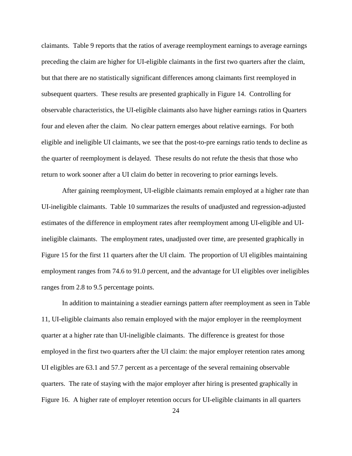claimants. Table 9 reports that the ratios of average reemployment earnings to average earnings preceding the claim are higher for UI-eligible claimants in the first two quarters after the claim, but that there are no statistically significant differences among claimants first reemployed in subsequent quarters. These results are presented graphically in Figure 14. Controlling for observable characteristics, the UI-eligible claimants also have higher earnings ratios in Quarters four and eleven after the claim. No clear pattern emerges about relative earnings. For both eligible and ineligible UI claimants, we see that the post-to-pre earnings ratio tends to decline as the quarter of reemployment is delayed. These results do not refute the thesis that those who return to work sooner after a UI claim do better in recovering to prior earnings levels.

After gaining reemployment, UI-eligible claimants remain employed at a higher rate than UI-ineligible claimants. Table 10 summarizes the results of unadjusted and regression-adjusted estimates of the difference in employment rates after reemployment among UI-eligible and UIineligible claimants. The employment rates, unadjusted over time, are presented graphically in Figure 15 for the first 11 quarters after the UI claim. The proportion of UI eligibles maintaining employment ranges from 74.6 to 91.0 percent, and the advantage for UI eligibles over ineligibles ranges from 2.8 to 9.5 percentage points.

In addition to maintaining a steadier earnings pattern after reemployment as seen in Table 11, UI-eligible claimants also remain employed with the major employer in the reemployment quarter at a higher rate than UI-ineligible claimants. The difference is greatest for those employed in the first two quarters after the UI claim: the major employer retention rates among UI eligibles are 63.1 and 57.7 percent as a percentage of the several remaining observable quarters. The rate of staying with the major employer after hiring is presented graphically in Figure 16. A higher rate of employer retention occurs for UI-eligible claimants in all quarters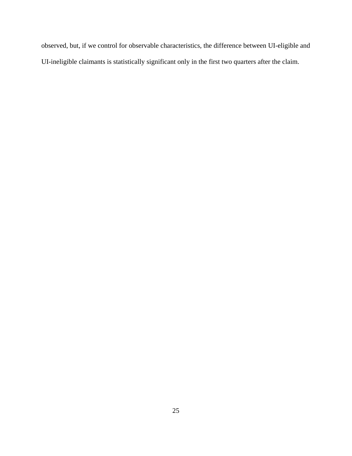observed, but, if we control for observable characteristics, the difference between UI-eligible and UI-ineligible claimants is statistically significant only in the first two quarters after the claim.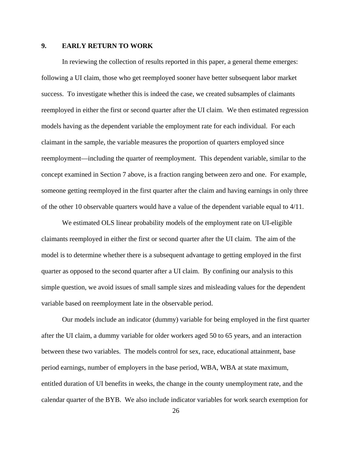### **9. EARLY RETURN TO WORK**

In reviewing the collection of results reported in this paper, a general theme emerges: following a UI claim, those who get reemployed sooner have better subsequent labor market success. To investigate whether this is indeed the case, we created subsamples of claimants reemployed in either the first or second quarter after the UI claim. We then estimated regression models having as the dependent variable the employment rate for each individual. For each claimant in the sample, the variable measures the proportion of quarters employed since reemployment—including the quarter of reemployment. This dependent variable, similar to the concept examined in Section 7 above, is a fraction ranging between zero and one. For example, someone getting reemployed in the first quarter after the claim and having earnings in only three of the other 10 observable quarters would have a value of the dependent variable equal to 4/11.

We estimated OLS linear probability models of the employment rate on UI-eligible claimants reemployed in either the first or second quarter after the UI claim. The aim of the model is to determine whether there is a subsequent advantage to getting employed in the first quarter as opposed to the second quarter after a UI claim. By confining our analysis to this simple question, we avoid issues of small sample sizes and misleading values for the dependent variable based on reemployment late in the observable period.

Our models include an indicator (dummy) variable for being employed in the first quarter after the UI claim, a dummy variable for older workers aged 50 to 65 years, and an interaction between these two variables. The models control for sex, race, educational attainment, base period earnings, number of employers in the base period, WBA, WBA at state maximum, entitled duration of UI benefits in weeks, the change in the county unemployment rate, and the calendar quarter of the BYB. We also include indicator variables for work search exemption for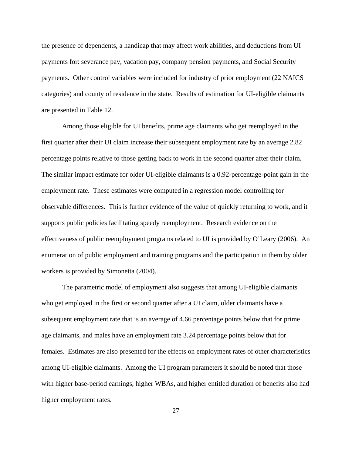the presence of dependents, a handicap that may affect work abilities, and deductions from UI payments for: severance pay, vacation pay, company pension payments, and Social Security payments. Other control variables were included for industry of prior employment (22 NAICS categories) and county of residence in the state. Results of estimation for UI-eligible claimants are presented in Table 12.

Among those eligible for UI benefits, prime age claimants who get reemployed in the first quarter after their UI claim increase their subsequent employment rate by an average 2.82 percentage points relative to those getting back to work in the second quarter after their claim. The similar impact estimate for older UI-eligible claimants is a 0.92-percentage-point gain in the employment rate. These estimates were computed in a regression model controlling for observable differences. This is further evidence of the value of quickly returning to work, and it supports public policies facilitating speedy reemployment. Research evidence on the effectiveness of public reemployment programs related to UI is provided by O'Leary (2006). An enumeration of public employment and training programs and the participation in them by older workers is provided by Simonetta (2004).

The parametric model of employment also suggests that among UI-eligible claimants who get employed in the first or second quarter after a UI claim, older claimants have a subsequent employment rate that is an average of 4.66 percentage points below that for prime age claimants, and males have an employment rate 3.24 percentage points below that for females. Estimates are also presented for the effects on employment rates of other characteristics among UI-eligible claimants. Among the UI program parameters it should be noted that those with higher base-period earnings, higher WBAs, and higher entitled duration of benefits also had higher employment rates.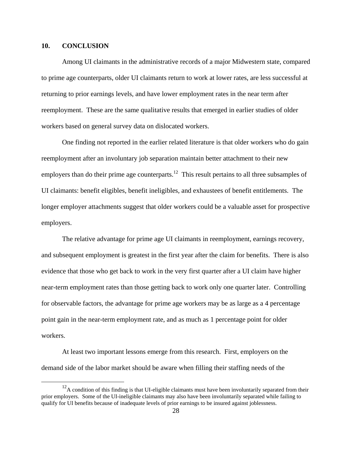### **10. CONCLUSION**

Among UI claimants in the administrative records of a major Midwestern state, compared to prime age counterparts, older UI claimants return to work at lower rates, are less successful at returning to prior earnings levels, and have lower employment rates in the near term after reemployment. These are the same qualitative results that emerged in earlier studies of older workers based on general survey data on dislocated workers.

One finding not reported in the earlier related literature is that older workers who do gain reemployment after an involuntary job separation maintain better attachment to their new employers than do their prime age counterparts.<sup>12</sup> This result pertains to all three subsamples of UI claimants: benefit eligibles, benefit ineligibles, and exhaustees of benefit entitlements. The longer employer attachments suggest that older workers could be a valuable asset for prospective employers.

The relative advantage for prime age UI claimants in reemployment, earnings recovery, and subsequent employment is greatest in the first year after the claim for benefits. There is also evidence that those who get back to work in the very first quarter after a UI claim have higher near-term employment rates than those getting back to work only one quarter later. Controlling for observable factors, the advantage for prime age workers may be as large as a 4 percentage point gain in the near-term employment rate, and as much as 1 percentage point for older workers.

At least two important lessons emerge from this research. First, employers on the demand side of the labor market should be aware when filling their staffing needs of the

 $12A$  condition of this finding is that UI-eligible claimants must have been involuntarily separated from their prior employers. Some of the UI-ineligible claimants may also have been involuntarily separated while failing to qualify for UI benefits because of inadequate levels of prior earnings to be insured against joblessness.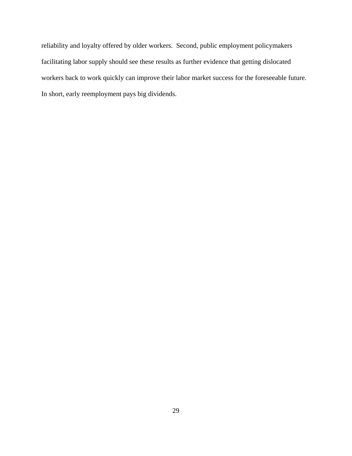reliability and loyalty offered by older workers. Second, public employment policymakers facilitating labor supply should see these results as further evidence that getting dislocated workers back to work quickly can improve their labor market success for the foreseeable future. In short, early reemployment pays big dividends.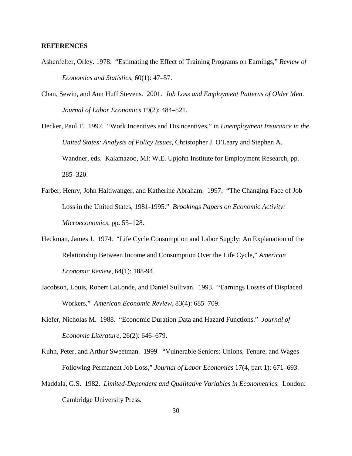### **REFERENCES**

- Ashenfelter, Orley. 1978. "Estimating the Effect of Training Programs on Earnings," *Review of Economics and Statistics*, 60(1): 47–57.
- Chan, Sewin, and Ann Huff Stevens. 2001. *Job Loss and Employment Patterns of Older Men*. *Journal of Labor Economics* 19(2): 484–521.
- Decker, Paul T. 1997. "Work Incentives and Disincentives," in *Unemployment Insurance in the United States: Analysis of Policy Issues, Christopher J. O'Leary and Stephen A.* Wandner, eds. Kalamazoo, MI: W.E. Upjohn Institute for Employment Research, pp. 285–320.
- Farber, Henry, John Haltiwanger, and Katherine Abraham. 1997. "The Changing Face of Job Loss in the United States, 1981-1995." *Brookings Papers on Economic Activity: Microeconomics*, pp. 55–128.
- Heckman, James J. 1974. "Life Cycle Consumption and Labor Supply: An Explanation of the Relationship Between Income and Consumption Over the Life Cycle," *American Economic Review*, 64(1): 188-94.
- Jacobson, Louis, Robert LaLonde, and Daniel Sullivan. 1993. "Earnings Losses of Displaced Workers," *American Economic Review*, 83(4): 685–709.
- Kiefer, Nicholas M. 1988. "Economic Duration Data and Hazard Functions." *Journal of Economic Literature*, 26(2): 646–679.
- Kuhn, Peter, and Arthur Sweetman. 1999. "Vulnerable Seniors: Unions, Tenure, and Wages Following Permanent Job Loss," *Journal of Labor Economics* 17(4, part 1): 671–693.
- Maddala, G.S. 1982. *Limited-Dependent and Qualitative Variables in Econometrics.* London: Cambridge University Press.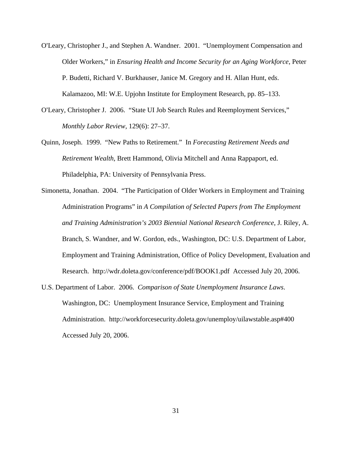- O'Leary, Christopher J., and Stephen A. Wandner. 2001. "Unemployment Compensation and Older Workers," in *Ensuring Health and Income Security for an Aging Workforce*, Peter P. Budetti, Richard V. Burkhauser, Janice M. Gregory and H. Allan Hunt, ed*s*. Kalamazoo, MI: W.E. Upjohn Institute for Employment Research, pp. 85–133.
- O'Leary, Christopher J. 2006. "State UI Job Search Rules and Reemployment Services," *Monthly Labor Review,* 129(6): 27–37.
- Quinn, Joseph. 1999. "New Paths to Retirement." In *Forecasting Retirement Needs and Retirement Wealth*, Brett Hammond, Olivia Mitchell and Anna Rappaport, ed. Philadelphia, PA: University of Pennsylvania Press.
- Simonetta, Jonathan. 2004. "The Participation of Older Workers in Employment and Training Administration Programs" in *A Compilation of Selected Papers from The Employment and Training Administration's 2003 Biennial National Research Conference*, J. Riley, A. Branch, S. Wandner, and W. Gordon, eds., Washington, DC: U.S. Department of Labor, Employment and Training Administration, Office of Policy Development, Evaluation and Research. http://wdr.doleta.gov/conference/pdf/BOOK1.pdf Accessed July 20, 2006.
- U.S. Department of Labor. 2006. *Comparison of State Unemployment Insurance Laws*. Washington, DC: Unemployment Insurance Service, Employment and Training Administration. http://workforcesecurity.doleta.gov/unemploy/uilawstable.asp#400 Accessed July 20, 2006.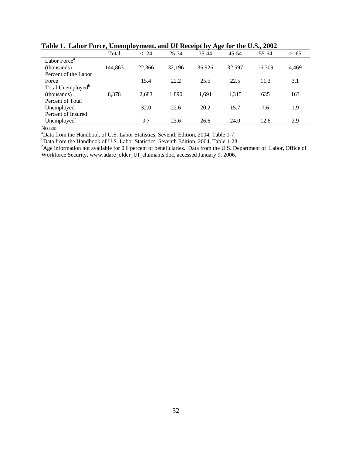|                               | Total   | $\leq$ 24 | $25 - 34$ | $35 - 44$ | $45 - 54$ | 55-64  | $>= 65$ |
|-------------------------------|---------|-----------|-----------|-----------|-----------|--------|---------|
| Labor Force <sup>a</sup>      |         |           |           |           |           |        |         |
| (thousands)                   | 144,863 | 22,366    | 32,196    | 36,926    | 32,597    | 16.309 | 4,469   |
| Percent of the Labor          |         |           |           |           |           |        |         |
| Force                         |         | 15.4      | 22.2      | 25.5      | 22.5      | 11.3   | 3.1     |
| Total Unemployed <sup>b</sup> |         |           |           |           |           |        |         |
| (thousands)                   | 8,378   | 2,683     | 1.890     | 1.691     | 1.315     | 635    | 163     |
| Percent of Total              |         |           |           |           |           |        |         |
| Unemployed                    |         | 32.0      | 22.6      | 20.2      | 15.7      | 7.6    | 1.9     |
| Percent of Insured            |         |           |           |           |           |        |         |
| Unemployed $\mathrm{c}$       |         | 9.7       | 23.6      | 26.6      | 24.0      | 12.6   | 2.9     |

**Table 1. Labor Force, Unemployment, and UI Receipt by Age for the U.S., 2002** 

NOTES:<br><sup>a</sup>Dote f:

<sup>a</sup>Data from the Handbook of U.S. Labor Statistics, Seventh Edition, 2004, Table 1-7.

<sup>b</sup>Data from the Handbook of U.S. Labor Statistics, Seventh Edition, 2004, Table 1-28.

<sup>c</sup>Age information not available for 0.6 percent of beneficiaries. Data from the U.S. Department of Labor, Office of Workforce Security, www.adare\_older\_UI\_claimants.doc, accessed January 9, 2006.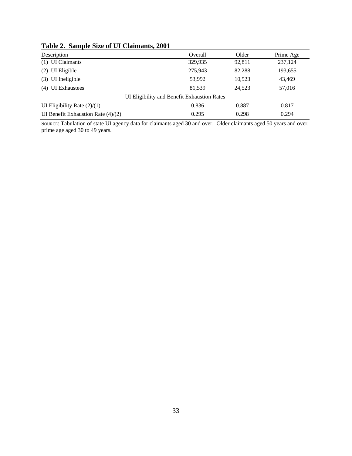| Description                                 | Overall | Older  | Prime Age |
|---------------------------------------------|---------|--------|-----------|
| (1) UI Claimants                            | 329,935 | 92,811 | 237,124   |
| UI Eligible<br>(2)                          | 275,943 | 82,288 | 193,655   |
| UI Ineligible<br>(3)                        | 53,992  | 10,523 | 43,469    |
| <b>UI</b> Exhaustees<br>(4)                 | 81.539  | 24,523 | 57,016    |
| UI Eligibility and Benefit Exhaustion Rates |         |        |           |
| UI Eligibility Rate $(2)/(1)$               | 0.836   | 0.887  | 0.817     |
| UI Benefit Exhaustion Rate $(4)/(2)$        | 0.295   | 0.298  | 0.294     |

# **Table 2. Sample Size of UI Claimants, 2001**

SOURCE: Tabulation of state UI agency data for claimants aged 30 and over. Older claimants aged 50 years and over, prime age aged 30 to 49 years.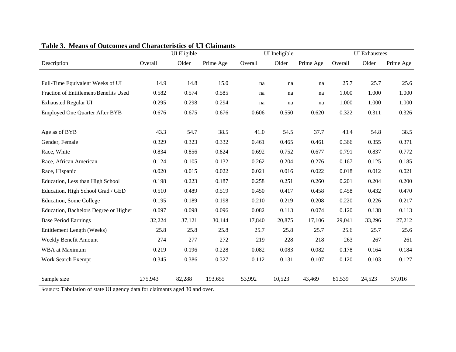|                                       |         | UI Eligible |           | UI Ineligible |        |           | <b>UI</b> Exhaustees |        |           |
|---------------------------------------|---------|-------------|-----------|---------------|--------|-----------|----------------------|--------|-----------|
| Description                           | Overall | Older       | Prime Age | Overall       | Older  | Prime Age | Overall              | Older  | Prime Age |
|                                       |         |             |           |               |        |           |                      |        |           |
| Full-Time Equivalent Weeks of UI      | 14.9    | 14.8        | 15.0      | na            | na     | na        | 25.7                 | 25.7   | 25.6      |
| Fraction of Entitlement/Benefits Used | 0.582   | 0.574       | 0.585     | na            | na     | na        | 1.000                | 1.000  | 1.000     |
| <b>Exhausted Regular UI</b>           | 0.295   | 0.298       | 0.294     | na            | na     | na        | 1.000                | 1.000  | 1.000     |
| <b>Employed One Quarter After BYB</b> | 0.676   | 0.675       | 0.676     | 0.606         | 0.550  | 0.620     | 0.322                | 0.311  | 0.326     |
| Age as of BYB                         | 43.3    | 54.7        | 38.5      | 41.0          | 54.5   | 37.7      | 43.4                 | 54.8   | 38.5      |
|                                       |         |             |           |               |        |           |                      |        |           |
| Gender, Female                        | 0.329   | 0.323       | 0.332     | 0.461         | 0.465  | 0.461     | 0.366                | 0.355  | 0.371     |
| Race, White                           | 0.834   | 0.856       | 0.824     | 0.692         | 0.752  | 0.677     | 0.791                | 0.837  | 0.772     |
| Race, African American                | 0.124   | 0.105       | 0.132     | 0.262         | 0.204  | 0.276     | 0.167                | 0.125  | 0.185     |
| Race, Hispanic                        | 0.020   | 0.015       | 0.022     | 0.021         | 0.016  | 0.022     | 0.018                | 0.012  | 0.021     |
| Education, Less than High School      | 0.198   | 0.223       | 0.187     | 0.258         | 0.251  | 0.260     | 0.201                | 0.204  | 0.200     |
| Education, High School Grad / GED     | 0.510   | 0.489       | 0.519     | 0.450         | 0.417  | 0.458     | 0.458                | 0.432  | 0.470     |
| <b>Education, Some College</b>        | 0.195   | 0.189       | 0.198     | 0.210         | 0.219  | 0.208     | 0.220                | 0.226  | 0.217     |
| Education, Bachelors Degree or Higher | 0.097   | 0.098       | 0.096     | 0.082         | 0.113  | 0.074     | 0.120                | 0.138  | 0.113     |
| <b>Base Period Earnings</b>           | 32,224  | 37,121      | 30,144    | 17,840        | 20,875 | 17,106    | 29,041               | 33,296 | 27,212    |
| Entitlement Length (Weeks)            | 25.8    | 25.8        | 25.8      | 25.7          | 25.8   | 25.7      | 25.6                 | 25.7   | 25.6      |
| Weekly Benefit Amount                 | 274     | 277         | 272       | 219           | 228    | 218       | 263                  | 267    | 261       |
| WBA at Maximum                        | 0.219   | 0.196       | 0.228     | 0.082         | 0.083  | 0.082     | 0.178                | 0.164  | 0.184     |
| Work Search Exempt                    | 0.345   | 0.386       | 0.327     | 0.112         | 0.131  | 0.107     | 0.120                | 0.103  | 0.127     |
| Sample size                           | 275,943 | 82,288      | 193,655   | 53,992        | 10,523 | 43,469    | 81,539               | 24,523 | 57,016    |

#### **Table 3. Means of Outcomes and Characteristics of UI Claimants**

SOURCE: Tabulation of state UI agency data for claimants aged 30 and over.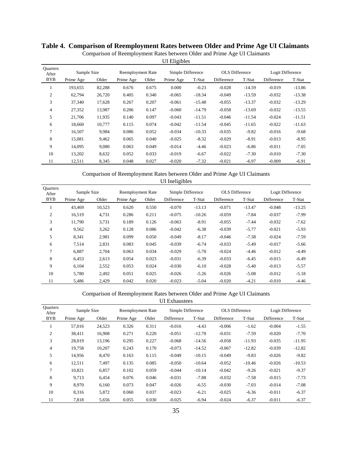|                          |             |        |                          |       | UT Lingtones      |          |                       |          |                  |          |
|--------------------------|-------------|--------|--------------------------|-------|-------------------|----------|-----------------------|----------|------------------|----------|
| <b>Ouarters</b><br>After | Sample Size |        | <b>Reemployment Rate</b> |       | Simple Difference |          | <b>OLS</b> Difference |          | Logit Difference |          |
| <b>BYB</b>               | Prime Age   | Older  | Prime Age                | Older | Prime Age         | T-Stat   | Difference            | T-Stat   | Difference       | T-Stat   |
|                          | 193,655     | 82,288 | 0.676                    | 0.675 | 0.000             | $-0.23$  | $-0.028$              | $-14.59$ | $-0.019$         | $-13.86$ |
| 2                        | 62,794      | 26,720 | 0.405                    | 0.340 | $-0.065$          | $-18.34$ | $-0.049$              | $-13.59$ | $-0.032$         | $-13.38$ |
| 3                        | 37,340      | 17,628 | 0.267                    | 0.207 | $-0.061$          | $-15.48$ | $-0.055$              | $-13.37$ | $-0.032$         | $-13.29$ |
| 4                        | 27,352      | 13,987 | 0.206                    | 0.147 | $-0.060$          | $-14.79$ | $-0.058$              | $-13.69$ | $-0.032$         | $-13.55$ |
| 5                        | 21,706      | 11,935 | 0.140                    | 0.097 | $-0.043$          | $-11.51$ | $-0.046$              | $-11.54$ | $-0.024$         | $-11.51$ |
| 6                        | 18.660      | 10,777 | 0.115                    | 0.074 | $-0.042$          | $-11.54$ | $-0.045$              | $-11.65$ | $-0.022$         | $-11.63$ |
| 7                        | 16,507      | 9,984  | 0.086                    | 0.052 | $-0.034$          | $-10.33$ | $-0.035$              | $-9.82$  | $-0.016$         | $-9.68$  |
| 8                        | 15,081      | 9,462  | 0.065                    | 0.040 | $-0.025$          | $-8.32$  | $-0.029$              | $-8.91$  | $-0.013$         | $-8.95$  |
| 9                        | 14.095      | 9,080  | 0.063                    | 0.049 | $-0.014$          | $-4.46$  | $-0.023$              | $-6.86$  | $-0.011$         | $-7.05$  |
| 10                       | 13,202      | 8,632  | 0.052                    | 0.033 | $-0.019$          | $-6.67$  | $-0.022$              | $-7.30$  | $-0.010$         | $-7.30$  |
| 11                       | 12,511      | 8,345  | 0.048                    | 0.027 | $-0.020$          | $-7.32$  | $-0.021$              | $-6.97$  | $-0.009$         | $-6.91$  |

# **Table 4. Comparison of Reemployment Rates between Older and Prime Age UI Claimants**

Comparison of Reemployment Rates between Older and Prime Age UI Claimants UI Eligibles

Comparison of Reemployment Rates between Older and Prime Age UI Claimants UI Ineligibles

| <b>Ouarters</b><br>After | Sample Size |        | <b>Reemployment Rate</b> |       | Simple Difference |          | <b>OLS</b> Difference |          | Logit Difference |          |
|--------------------------|-------------|--------|--------------------------|-------|-------------------|----------|-----------------------|----------|------------------|----------|
| <b>BYB</b>               | Prime Age   | Older  | Prime Age                | Older | Difference        | T-Stat   | Difference            | T-Stat   | Difference       | T-Stat   |
|                          | 43,469      | 10,523 | 0.620                    | 0.550 | $-0.070$          | $-13.13$ | $-0.071$              | $-13.47$ | $-0.048$         | $-13.25$ |
| 2                        | 16.519      | 4,731  | 0.286                    | 0.211 | $-0.075$          | $-10.26$ | $-0.059$              | $-7.84$  | $-0.037$         | $-7.99$  |
| 3                        | 11.790      | 3,731  | 0.189                    | 0.126 | $-0.063$          | $-8.91$  | $-0.055$              | $-7.44$  | $-0.032$         | $-7.62$  |
| 4                        | 9,562       | 3,262  | 0.128                    | 0.086 | $-0.042$          | $-6.38$  | $-0.039$              | $-5.77$  | $-0.021$         | $-5.93$  |
| 5                        | 8,341       | 2.981  | 0.099                    | 0.050 | $-0.049$          | $-8.17$  | $-0.046$              | $-7.38$  | $-0.024$         | $-7.59$  |
| 6                        | 7.514       | 2,831  | 0.083                    | 0.045 | $-0.039$          | $-6.74$  | $-0.033$              | $-5.49$  | $-0.017$         | $-5.66$  |
| 7                        | 6.887       | 2.704  | 0.063                    | 0.034 | $-0.029$          | $-5.70$  | $-0.024$              | $-4.46$  | $-0.012$         | $-4.49$  |
| 8                        | 6,453       | 2,613  | 0.054                    | 0.023 | $-0.031$          | $-6.39$  | $-0.033$              | $-6.45$  | $-0.015$         | $-6.49$  |
| 9                        | 6,104       | 2,552  | 0.053                    | 0.024 | $-0.030$          | $-6.10$  | $-0.028$              | $-5.40$  | $-0.013$         | $-5.57$  |
| 10                       | 5,780       | 2,492  | 0.051                    | 0.025 | $-0.026$          | $-5.26$  | $-0.026$              | $-5.08$  | $-0.012$         | $-5.18$  |
| 11                       | 5.486       | 2,429  | 0.042                    | 0.020 | $-0.023$          | $-5.04$  | $-0.020$              | $-4.21$  | $-0.010$         | $-4.46$  |

Comparison of Reemployment Rates between Older and Prime Age UI Claimants

UI Exhaustees

| <b>Ouarters</b><br>After | Sample Size |        | Reemployment Rate |       | Simple Difference |          | <b>OLS</b> Difference |          | Logit Difference |          |
|--------------------------|-------------|--------|-------------------|-------|-------------------|----------|-----------------------|----------|------------------|----------|
| <b>BYB</b>               | Prime Age   | Older  | Prime Age         | Older | Difference        | T-Stat   | Difference            | T-Stat   | Difference       | T-Stat   |
| 1                        | 57,016      | 24,523 | 0.326             | 0.311 | $-0.016$          | $-4.43$  | $-0.006$              | $-1.62$  | $-0.004$         | $-1.55$  |
| 2                        | 38,411      | 16,908 | 0.271             | 0.220 | $-0.051$          | $-12.70$ | $-0.031$              | $-7.59$  | $-0.020$         | $-7.70$  |
| 3                        | 28,019      | 13,196 | 0.295             | 0.227 | $-0.068$          | $-14.56$ | $-0.058$              | $-11.93$ | $-0.035$         | $-11.95$ |
| 4                        | 19,758      | 10,207 | 0.243             | 0.170 | $-0.073$          | $-14.52$ | $-0.067$              | $-12.82$ | $-0.039$         | $-12.82$ |
| 5                        | 14.956      | 8.470  | 0.163             | 0.115 | $-0.049$          | $-10.15$ | $-0.049$              | $-9.83$  | $-0.026$         | $-9.82$  |
| 6                        | 12,511      | 7.497  | 0.135             | 0.085 | $-0.050$          | $-10.64$ | $-0.052$              | $-10.46$ | $-0.026$         | $-10.53$ |
| 7                        | 10,821      | 6,857  | 0.102             | 0.059 | $-0.044$          | $-10.14$ | $-0.042$              | $-9.26$  | $-0.021$         | $-9.37$  |
| 8                        | 9.713       | 6,454  | 0.076             | 0.046 | $-0.031$          | $-7.88$  | $-0.032$              | $-7.58$  | $-0.015$         | $-7.73$  |
| 9                        | 8.970       | 6.160  | 0.073             | 0.047 | $-0.026$          | $-6.55$  | $-0.030$              | $-7.03$  | $-0.014$         | $-7.08$  |
| 10                       | 8,316       | 5,872  | 0.060             | 0.037 | $-0.023$          | $-6.21$  | $-0.025$              | $-6.36$  | $-0.011$         | $-6.37$  |
| 11                       | 7,818       | 5,656  | 0.055             | 0.030 | $-0.025$          | $-6.94$  | $-0.024$              | $-6.37$  | $-0.011$         | $-6.37$  |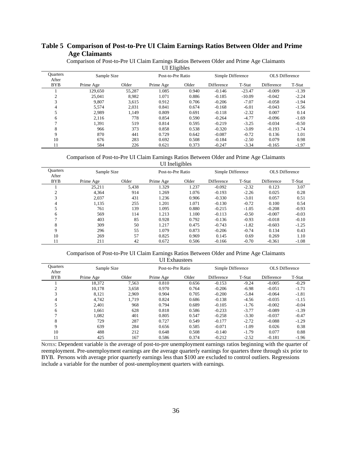# **Table 5 Comparison of Post-to-Pre UI Claim Earnings Ratios Between Older and Prime Age Claimants**

|                          |             |        | UI Eligibles      |       |                   |          |                       |         |
|--------------------------|-------------|--------|-------------------|-------|-------------------|----------|-----------------------|---------|
| <b>Ouarters</b><br>After | Sample Size |        | Post-to-Pre Ratio |       | Simple Difference |          | <b>OLS</b> Difference |         |
| <b>BYB</b>               | Prime Age   | Older  | Prime Age         | Older | Difference        | T-Stat   | Difference            | T-Stat  |
|                          | 129,650     | 55,287 | 1.085             | 0.940 | $-0.146$          | $-23.47$ | $-0.009$              | $-1.39$ |
| $\overline{c}$           | 25.041      | 8.982  | 1.071             | 0.886 | $-0.185$          | $-10.09$ | $-0.042$              | $-2.24$ |
| 3                        | 9.807       | 3.615  | 0.912             | 0.706 | $-0.206$          | $-7.07$  | $-0.058$              | $-1.94$ |
| 4                        | 5.574       | 2.031  | 0.841             | 0.674 | $-0.168$          | $-6.01$  | $-0.043$              | $-1.56$ |
|                          | 2.989       | 1.149  | 0.809             | 0.691 | $-0.118$          | $-2.32$  | 0.007                 | 0.14    |
| 6                        | 2,116       | 778    | 0.854             | 0.590 | $-0.264$          | $-4.77$  | $-0.096$              | $-1.69$ |
| ⇁                        | 1.391       | 519    | 0.814             | 0.595 | $-0.219$          | $-3.25$  | $-0.034$              | $-0.50$ |
| 8                        | 966         | 373    | 0.858             | 0.538 | $-0.320$          | $-3.09$  | $-0.193$              | $-1.74$ |
| 9                        | 870         | 441    | 0.729             | 0.642 | $-0.087$          | $-0.72$  | 0.136                 | 1.01    |
| 10                       | 676         | 283    | 0.692             | 0.508 | $-0.184$          | $-2.50$  | 0.079                 | 0.98    |
| 11                       | 584         | 226    | 0.621             | 0.373 | $-0.247$          | $-3.34$  | $-0.165$              | $-1.97$ |

Comparison of Post-to-Pre UI Claim Earnings Ratios Between Older and Prime Age Claimants  $\overline{U}$  $\overline{U}$  $\overline{U}$  $\overline{U}$  $\overline{U}$  $\overline{U}$  $\overline{U}$  $\overline{U}$ 

Comparison of Post-to-Pre UI Claim Earnings Ratios Between Older and Prime Age Claimants UI Ineligibles

|                          | -0-----     |       |                   |       |                   |         |                       |         |  |  |
|--------------------------|-------------|-------|-------------------|-------|-------------------|---------|-----------------------|---------|--|--|
| <b>Ouarters</b><br>After | Sample Size |       | Post-to-Pre Ratio |       | Simple Difference |         | <b>OLS</b> Difference |         |  |  |
| <b>BYB</b>               | Prime Age   | Older | Prime Age         | Older | Difference        | T-Stat  | Difference            | T-Stat  |  |  |
|                          | 25.211      | 5.438 | 1.329             | 1.237 | $-0.092$          | $-2.32$ | 0.123                 | 3.07    |  |  |
|                          | 4.364       | 914   | 1.269             | 1.076 | $-0.193$          | $-2.26$ | 0.025                 | 0.28    |  |  |
| 3                        | 2,037       | 431   | 1.236             | 0.906 | $-0.330$          | $-3.01$ | 0.057                 | 0.51    |  |  |
| 4                        | 1,135       | 255   | 1.201             | 1.071 | $-0.130$          | $-0.72$ | 0.100                 | 0.54    |  |  |
|                          | 761         | 139   | 1.095             | 0.880 | $-0.215$          | $-1.05$ | $-0.208$              | $-0.93$ |  |  |
| 6                        | 569         | 114   | 1.213             | 1.100 | $-0.113$          | $-0.50$ | $-0.007$              | $-0.03$ |  |  |
|                          | 403         | 85    | 0.928             | 0.792 | $-0.136$          | $-0.93$ | $-0.018$              | $-0.10$ |  |  |
| 8                        | 309         | 50    | 1.217             | 0.475 | $-0.743$          | $-1.82$ | $-0.603$              | $-1.25$ |  |  |
| 9                        | 296         | 55    | 1.079             | 0.873 | $-0.206$          | $-0.74$ | 0.134                 | 0.43    |  |  |
| 10                       | 269         | 57    | 0.825             | 0.969 | 0.145             | 0.69    | 0.269                 | 1.10    |  |  |
| 11                       | 211         | 42    | 0.672             | 0.506 | $-0.166$          | $-0.70$ | $-0.361$              | $-1.08$ |  |  |

Comparison of Post-to-Pre UI Claim Earnings Ratios Between Older and Prime Age Claimants UI Exhaustees

| <b>Ouarters</b><br>After | Sample Size |       | Post-to-Pre Ratio |       | Simple Difference |         | <b>OLS</b> Difference |         |
|--------------------------|-------------|-------|-------------------|-------|-------------------|---------|-----------------------|---------|
| <b>BYB</b>               | Prime Age   | Older | Prime Age         | Older | Difference        | T-Stat  | Difference            | T-Stat  |
|                          | 18.372      | 7.563 | 0.810             | 0.656 | $-0.153$          | $-9.24$ | $-0.005$              | $-0.29$ |
| 2                        | 10.178      | 3,658 | 0.970             | 0.764 | $-0.206$          | $-6.98$ | $-0.051$              | $-1.71$ |
| 3                        | 8,121       | 2.969 | 0.904             | 0.705 | $-0.200$          | $-5.84$ | $-0.064$              | $-1.81$ |
| 4                        | 4.742       | 1.719 | 0.824             | 0.686 | $-0.138$          | $-4.56$ | $-0.035$              | $-1.15$ |
| 5                        | 2.401       | 968   | 0.794             | 0.689 | $-0.105$          | $-1.76$ | $-0.002$              | $-0.04$ |
| 6                        | 1.661       | 628   | 0.818             | 0.586 | $-0.233$          | $-3.77$ | $-0.089$              | $-1.39$ |
| 7                        | 1.082       | 401   | 0.805             | 0.547 | $-0.258$          | $-3.30$ | $-0.037$              | $-0.47$ |
| 8                        | 729         | 287   | 0.727             | 0.549 | $-0.177$          | $-2.72$ | $-0.088$              | $-1.29$ |
| 9                        | 639         | 284   | 0.656             | 0.585 | $-0.071$          | $-1.09$ | 0.026                 | 0.38    |
| 10                       | 488         | 212   | 0.648             | 0.508 | $-0.140$          | $-1.79$ | 0.077                 | 0.88    |
| 11                       | 425         | 167   | 0.586             | 0.374 | $-0.212$          | $-2.52$ | $-0.181$              | $-1.96$ |

NOTES: Dependent variable is the average of post-to-pre unemployment earnings ratios beginning with the quarter of reemployment. Pre-unemployment earnings are the average quarterly earnings for quarters three through six prior to BYB. Persons with average prior quarterly earnings less than \$100 are excluded to control outliers. Regressions include a variable for the number of post-unemployment quarters with earnings.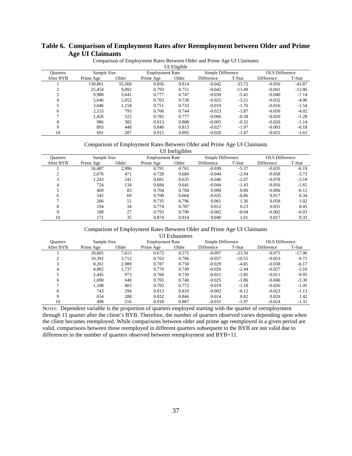# **Table 6. Comparison of Employment Rates after Reemployment between Older and Prime Age UI Claimants**

|                 | UI Eligible |        |                        |       |                   |          |                   |          |  |  |
|-----------------|-------------|--------|------------------------|-------|-------------------|----------|-------------------|----------|--|--|
| <b>Ouarters</b> | Sample Size |        | <b>Employment Rate</b> |       | Simple Difference |          | OLS Difference    |          |  |  |
| After BYB       | Prime Age   | Older  | Prime Age              | Older | <b>Difference</b> | T-Stat   | <b>Difference</b> | T-Stat   |  |  |
|                 | 130,861     | 55,568 | 0.856                  | 0.814 | $-0.042$          | $-33.72$ | $-0.056$          | $-43.87$ |  |  |
| ◠               | 25.454      | 9.092  | 0.793                  | 0.751 | $-0.042$          | $-13.49$ | $-0.041$          | $-12.86$ |  |  |
| 3               | 9.988       | 3.641  | 0.777                  | 0.747 | $-0.030$          | $-5.41$  | $-0.040$          | $-7.14$  |  |  |
| 4               | 5.646       | 2,052  | 0.763                  | 0.738 | $-0.025$          | $-3.21$  | $-0.032$          | $-4.06$  |  |  |
|                 | 3.046       | 1,158  | 0.751                  | 0.733 | $-0.019$          | $-1.76$  | $-0.016$          | $-1.54$  |  |  |
| 6               | 2,153       | 793    | 0.766                  | 0.744 | $-0.023$          | $-1.87$  | $-0.050$          | $-4.02$  |  |  |
| ⇁               | 1.426       | 522    | 0.782                  | 0.777 | $-0.006$          | $-0.38$  | $-0.020$          | $-1.28$  |  |  |
| 8               | 986         | 382    | 0.813                  | 0.808 | $-0.005$          | $-0.32$  | $-0.020$          | $-1.14$  |  |  |
| $\mathbf Q$     | 893         | 448    | 0.840                  | 0.813 | $-0.027$          | $-1.97$  | $-0.003$          | $-0.18$  |  |  |
| 10              | 691         | 287    | 0.915                  | 0.895 | $-0.020$          | $-1.47$  | $-0.025$          | $-1.63$  |  |  |

Comparison of Employment Rates Between Older and Prime Age UI Claimants

#### Comparison of Employment Rates Between Older and Prime Age UI Claimants

|                 | UI Ineligibles |       |                        |       |                   |         |                   |         |  |  |
|-----------------|----------------|-------|------------------------|-------|-------------------|---------|-------------------|---------|--|--|
| <b>Ouarters</b> | Sample Size    |       | <b>Employment Rate</b> |       | Simple Difference |         | OLS Difference    |         |  |  |
| After BYB       | Prime Age      | Older | Prime Age              | Older | <b>Difference</b> | T-Stat  | <b>Difference</b> | T-Stat  |  |  |
|                 | 16,487         | 2.996 | 0.791                  | 0.761 | $-0.030$          | $-5.37$ | $-0.035$          | $-6.19$ |  |  |
| ◠               | 2.676          | 471   | 0.728                  | 0.684 | $-0.044$          | $-2.94$ | $-0.058$          | $-3.73$ |  |  |
| 3               | 1.243          | 241   | 0.681                  | 0.635 | $-0.046$          | $-2.07$ | $-0.078$          | $-3.18$ |  |  |
| 4               | 724            | 134   | 0.684                  | 0.641 | $-0.044$          | $-1.43$ | $-0.056$          | $-1.65$ |  |  |
| 5               | 469            | 83    | 0.704                  | 0.704 | 0.000             | 0.00    | $-0.006$          | $-0.12$ |  |  |
| 6               | 345            | 69    | 0.700                  | 0.664 | $-0.035$          | $-0.86$ | 0.017             | 0.34    |  |  |
| ⇁               | 266            | 51    | 0.735                  | 0.796 | 0.061             | 1.36    | 0.058             | 1.02    |  |  |
| 8               | 194            | 34    | 0.774                  | 0.787 | 0.012             | 0.23    | 0.031             | 0.45    |  |  |
| 9               | 188            | 27    | 0.793                  | 0.790 | $-0.002$          | $-0.04$ | $-0.002$          | $-0.03$ |  |  |
| 10              | 171            | 35    | 0.874                  | 0.914 | 0.040             | 1.01    | 0.017             | 0.33    |  |  |

#### Comparison of Employment Rates Between Older and Prime Age UI Claimants

UI Exhaustees

| <b>Ouarters</b> | Sample Size |       | <b>Employment Rate</b> |       | Simple Difference |          | <b>OLS</b> Difference |          |
|-----------------|-------------|-------|------------------------|-------|-------------------|----------|-----------------------|----------|
| After BYB       | Prime Age   | Older | Prime Age              | Older | Difference        | T-Stat   | Difference            | T-Stat   |
|                 | 18.605      | 7.615 | 0.672                  | 0.575 | $-0.097$          | $-23.50$ | $-0.075$              | $-17.90$ |
|                 | 10,392      | 3.712 | 0.763                  | 0.706 | $-0.057$          | $-10.55$ | $-0.053$              | $-9.71$  |
| 3               | 8.261       | 2.989 | 0.787                  | 0.758 | $-0.029$          | $-4.85$  | $-0.038$              | $-6.17$  |
| 4               | 4.802       | 1,737 | 0.770                  | 0.749 | $-0.020$          | $-2.44$  | $-0.027$              | $-3.16$  |
|                 | 2.445       | 973   | 0.760                  | 0.739 | $-0.021$          | $-1.85$  | $-0.011$              | $-0.95$  |
| 6               | 1.690       | 640   | 0.765                  | 0.740 | $-0.025$          | $-1.86$  | $-0.046$              | $-3.30$  |
|                 | 1.108       | 403   | 0.792                  | 0.772 | $-0.019$          | $-1.18$  | $-0.026$              | $-1.45$  |
| 8               | 743         | 294   | 0.813                  | 0.810 | $-0.002$          | $-0.12$  | $-0.023$              | $-1.13$  |
| Q               | 654         | 288   | 0.832                  | 0.846 | 0.014             | 0.82     | 0.026                 | 1.42     |
| 10              | 498         | 216   | 0.918                  | 0.887 | $-0.031$          | $-1.97$  | $-0.024$              | $-1.31$  |

NOTES: Dependent variable is the proportion of quarters employed starting with the quarter of reemployment through 11 quarter after the client's BYB. Therefore, the number of quarters observed varies depending upon when the client becomes reemployed. While comparisons between older and prime age reemployed in a given period are valid, comparisons between those reemployed in different quarters subsequent to the BYB are not valid due to differences in the number of quarters observed between reemployment and BYB+11.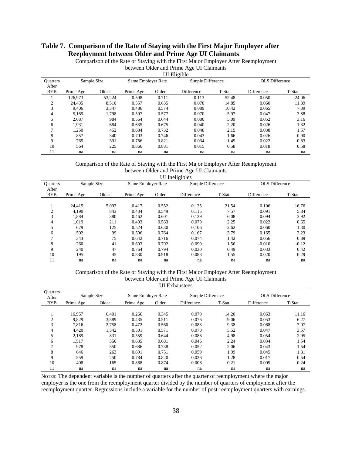# **Table 7. Comparison of the Rate of Staying with the First Major Employer after Reeployment between Older and Prime Age UI Claimants**

Comparison of the Rate of Staying with the First Major Employer After Reemployment

between Older and Prime Age UI Claimants UI Eligible

| <b>OT Eligible</b> |             |        |                    |       |                   |        |                       |        |  |
|--------------------|-------------|--------|--------------------|-------|-------------------|--------|-----------------------|--------|--|
| <b>Quarters</b>    | Sample Size |        | Same Employer Rate |       | Simple Difference |        | <b>OLS</b> Difference |        |  |
| After              |             |        |                    |       |                   |        |                       |        |  |
| <b>BYB</b>         | Prime Age   | Older  | Prime Age          | Older | Difference        | T-Stat | Difference            | T-Stat |  |
|                    | 126,973     | 53,224 | 0.598              | 0.711 | 0.113             | 52.48  | 0.050                 | 24.06  |  |
| 2                  | 24.435      | 8,510  | 0.557              | 0.635 | 0.078             | 14.85  | 0.060                 | 11.39  |  |
| 3                  | 9.406       | 3,347  | 0.486              | 0.574 | 0.089             | 10.42  | 0.065                 | 7.39   |  |
| 4                  | 5.189       | 1.798  | 0.507              | 0.577 | 0.070             | 5.97   | 0.047                 | 3.88   |  |
| 5                  | 2.687       | 984    | 0.564              | 0.644 | 0.080             | 5.09   | 0.052                 | 3.16   |  |
| 6                  | 1,931       | 684    | 0.635              | 0.675 | 0.040             | 2.20   | 0.026                 | 1.32   |  |
| ┑                  | 1.250       | 452    | 0.684              | 0.732 | 0.048             | 2.15   | 0.038                 | 1.57   |  |
| 8                  | 857         | 340    | 0.703              | 0.746 | 0.043             | 1.66   | 0.026                 | 0.90   |  |
| 9                  | 765         | 391    | 0.786              | 0.821 | 0.034             | 1.49   | 0.022                 | 0.83   |  |
| 10                 | 564         | 225    | 0.866              | 0.881 | 0.015             | 0.58   | 0.018                 | 0.58   |  |
| 11                 | na          | na     | na                 | na    | na                | na     | na                    | na     |  |

### Comparison of the Rate of Staying with the First Major Employer After Reemployment between Older and Prime Age UI Claimants

UI Ineligibles

| <b>Quarters</b><br>After | Sample Size |       | Same Employer Rate |       | Simple Difference |        | <b>OLS</b> Difference |         |
|--------------------------|-------------|-------|--------------------|-------|-------------------|--------|-----------------------|---------|
| <b>BYB</b>               | Prime Age   | Older | Prime Age          | Older | Difference        | T-Stat | Difference            | T-Stat  |
|                          |             |       |                    |       |                   |        |                       |         |
|                          | 24,415      | 5,093 | 0.417              | 0.552 | 0.135             | 21.54  | 0.106                 | 16.76   |
| 2                        | 4.190       | 843   | 0.434              | 0.549 | 0.115             | 7.57   | 0.091                 | 5.84    |
| 3                        | 1,884       | 380   | 0.462              | 0.601 | 0.139             | 6.08   | 0.094                 | 3.92    |
| 4                        | 1,019       | 211   | 0.493              | 0.563 | 0.070             | 2.25   | 0.022                 | 0.65    |
| 5                        | 679         | 125   | 0.524              | 0.630 | 0.106             | 2.62   | 0.060                 | 1.30    |
| 6                        | 502         | 99    | 0.596              | 0.764 | 0.167             | 3.79   | 0.165                 | 3.23    |
| ┑                        | 343         | 75    | 0.642              | 0.716 | 0.074             | 1.42   | 0.056                 | 0.89    |
| 8                        | 260         | 41    | 0.693              | 0.792 | 0.099             | 1.56   | $-0.010$              | $-0.12$ |
| 9                        | 240         | 47    | 0.764              | 0.794 | 0.030             | 0.49   | 0.033                 | 0.42    |
| 10                       | 195         | 45    | 0.830              | 0.918 | 0.088             | 1.55   | 0.020                 | 0.29    |
| 11                       | na          | na    | na                 | na    | na                | na     | na                    | na      |

#### Comparison of the Rate of Staying with the First Major Employer After Reemployment between Older and Prime Age UI Claimants UI Exhaustees

|                          |             |       |                    |       | ---------------   |        |                |        |
|--------------------------|-------------|-------|--------------------|-------|-------------------|--------|----------------|--------|
| <b>Ouarters</b><br>After | Sample Size |       | Same Employer Rate |       | Simple Difference |        | OLS Difference |        |
| <b>BYB</b>               | Prime Age   | Older | Prime Age          | Older | Difference        | T-Stat | Difference     | T-Stat |
|                          |             |       |                    |       |                   |        |                |        |
|                          | 16.957      | 6.401 | 0.266              | 0.345 | 0.079             | 14.20  | 0.063          | 11.16  |
| $\overline{2}$           | 9.829       | 3,389 | 0.435              | 0.511 | 0.076             | 9.06   | 0.053          | 6.27   |
| 3                        | 7.816       | 2.758 | 0.472              | 0.560 | 0.088             | 9.38   | 0.068          | 7.07   |
| 4                        | 4,420       | 1,542 | 0.501              | 0.571 | 0.070             | 5.52   | 0.047          | 3.57   |
| 5                        | 2,189       | 831   | 0.559              | 0.644 | 0.086             | 4.98   | 0.054          | 2.95   |
| 6                        | 1.517       | 550   | 0.635              | 0.681 | 0.046             | 2.24   | 0.034          | 1.54   |
|                          | 978         | 350   | 0.686              | 0.738 | 0.052             | 2.06   | 0.043          | 1.54   |
| 8                        | 646         | 263   | 0.691              | 0.751 | 0.059             | 1.99   | 0.045          | 1.31   |
| 9                        | 559         | 250   | 0.784              | 0.820 | 0.036             | 1.28   | 0.017          | 0.54   |
| 10                       | 408         | 165   | 0.868              | 0.874 | 0.006             | 0.21   | 0.009          | 0.24   |
| 11                       | na          | na    | na                 | na    | na                | na     | na             | na     |

NOTES: The dependent variable is the number of quarters after the quarter of reemployment where the major employer is the one from the reemployment quarter divided by the number of quarters of employment after the reemployment quarter. Regressions include a variable for the number of post-reemployment quarters with earnings.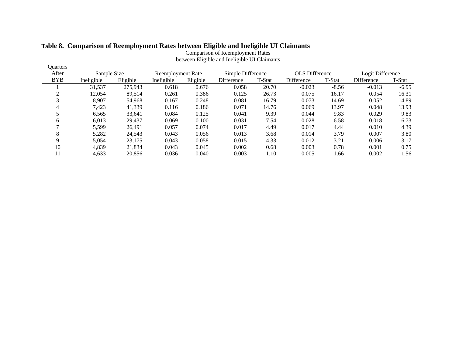| between Eligible and Ineligible UI Claimants |             |          |                   |          |                   |        |                       |         |                   |         |
|----------------------------------------------|-------------|----------|-------------------|----------|-------------------|--------|-----------------------|---------|-------------------|---------|
| Quarters                                     |             |          |                   |          |                   |        |                       |         |                   |         |
| After                                        | Sample Size |          | Reemployment Rate |          | Simple Difference |        | <b>OLS</b> Difference |         | Logit Difference  |         |
| <b>BYB</b>                                   | Ineligible  | Eligible | Ineligible        | Eligible | Difference        | T-Stat | Difference            | T-Stat  | <b>Difference</b> | T-Stat  |
|                                              | 31,537      | 275.943  | 0.618             | 0.676    | 0.058             | 20.70  | $-0.023$              | $-8.56$ | $-0.013$          | $-6.95$ |
|                                              | 12,054      | 89,514   | 0.261             | 0.386    | 0.125             | 26.73  | 0.075                 | 16.17   | 0.054             | 16.31   |
| 3                                            | 8.907       | 54,968   | 0.167             | 0.248    | 0.081             | 16.79  | 0.073                 | 14.69   | 0.052             | 14.89   |
| 4                                            | 7,423       | 41,339   | 0.116             | 0.186    | 0.071             | 14.76  | 0.069                 | 13.97   | 0.048             | 13.93   |
|                                              | 6,565       | 33,641   | 0.084             | 0.125    | 0.041             | 9.39   | 0.044                 | 9.83    | 0.029             | 9.83    |
| 6                                            | 6,013       | 29,437   | 0.069             | 0.100    | 0.031             | 7.54   | 0.028                 | 6.58    | 0.018             | 6.73    |
|                                              | 5,599       | 26.491   | 0.057             | 0.074    | 0.017             | 4.49   | 0.017                 | 4.44    | 0.010             | 4.39    |
| 8                                            | 5,282       | 24,543   | 0.043             | 0.056    | 0.013             | 3.68   | 0.014                 | 3.79    | 0.007             | 3.80    |
| Q                                            | 5.054       | 23,175   | 0.043             | 0.058    | 0.015             | 4.33   | 0.012                 | 3.21    | 0.006             | 3.17    |
| 10                                           | 4,839       | 21,834   | 0.043             | 0.045    | 0.002             | 0.68   | 0.003                 | 0.78    | 0.001             | 0.75    |
| 11                                           | 4,633       | 20.856   | 0.036             | 0.040    | 0.003             | 1.10   | 0.005                 | 1.66    | 0.002             | 1.56    |

Comparison of Reemployment Rates

# **Table 8. Comparison of Reemployment Rates between Eligible and Ineligible UI Claimants**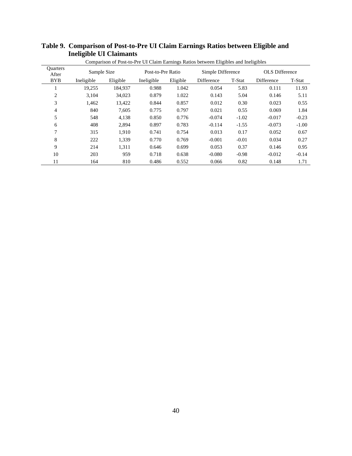|                          | Comparison of Post-to-Pre UI Claim Earnings Ratios between Eligibles and Ineligibles |          |                   |          |                   |         |                       |         |  |
|--------------------------|--------------------------------------------------------------------------------------|----------|-------------------|----------|-------------------|---------|-----------------------|---------|--|
| <b>Ouarters</b><br>After | Sample Size                                                                          |          | Post-to-Pre Ratio |          | Simple Difference |         | <b>OLS</b> Difference |         |  |
| <b>BYB</b>               | Ineligible                                                                           | Eligible | Ineligible        | Eligible | Difference        | T-Stat  | Difference            | T-Stat  |  |
| 1                        | 19,255                                                                               | 184,937  | 0.988             | 1.042    | 0.054             | 5.83    | 0.111                 | 11.93   |  |
| $\overline{2}$           | 3,104                                                                                | 34,023   | 0.879             | 1.022    | 0.143             | 5.04    | 0.146                 | 5.11    |  |
| 3                        | 1,462                                                                                | 13,422   | 0.844             | 0.857    | 0.012             | 0.30    | 0.023                 | 0.55    |  |
| $\overline{4}$           | 840                                                                                  | 7.605    | 0.775             | 0.797    | 0.021             | 0.55    | 0.069                 | 1.84    |  |
| 5                        | 548                                                                                  | 4,138    | 0.850             | 0.776    | $-0.074$          | $-1.02$ | $-0.017$              | $-0.23$ |  |
| 6                        | 408                                                                                  | 2.894    | 0.897             | 0.783    | $-0.114$          | $-1.55$ | $-0.073$              | $-1.00$ |  |
| 7                        | 315                                                                                  | 1.910    | 0.741             | 0.754    | 0.013             | 0.17    | 0.052                 | 0.67    |  |
| 8                        | 222                                                                                  | 1,339    | 0.770             | 0.769    | $-0.001$          | $-0.01$ | 0.034                 | 0.27    |  |
| 9                        | 214                                                                                  | 1,311    | 0.646             | 0.699    | 0.053             | 0.37    | 0.146                 | 0.95    |  |
| 10                       | 203                                                                                  | 959      | 0.718             | 0.638    | $-0.080$          | $-0.98$ | $-0.012$              | $-0.14$ |  |
| 11                       | 164                                                                                  | 810      | 0.486             | 0.552    | 0.066             | 0.82    | 0.148                 | 1.71    |  |

# **Table 9. Comparison of Post-to-Pre UI Claim Earnings Ratios between Eligible and Ineligible UI Claimants**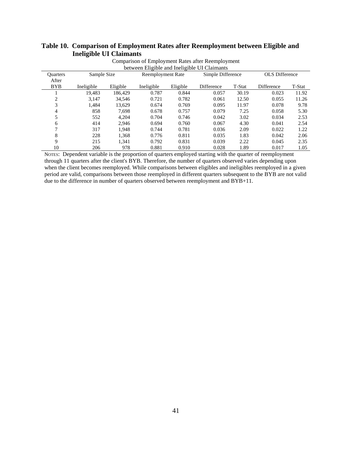| Comparison of Employment Rates after Reemployment |                                              |          |                          |          |                   |                   |                   |                       |  |  |
|---------------------------------------------------|----------------------------------------------|----------|--------------------------|----------|-------------------|-------------------|-------------------|-----------------------|--|--|
|                                                   | between Eligible and Ineligible UI Claimants |          |                          |          |                   |                   |                   |                       |  |  |
| <b>Ouarters</b>                                   | Sample Size                                  |          | <b>Reemployment Rate</b> |          |                   | Simple Difference |                   | <b>OLS</b> Difference |  |  |
| After                                             |                                              |          |                          |          |                   |                   |                   |                       |  |  |
| <b>BYB</b>                                        | Ineligible                                   | Eligible | Ineligible               | Eligible | <b>Difference</b> | T-Stat            | <b>Difference</b> | T-Stat                |  |  |
|                                                   | 19.483                                       | 186.429  | 0.787                    | 0.844    | 0.057             | 30.19             | 0.023             | 11.92                 |  |  |
| 2                                                 | 3,147                                        | 34,546   | 0.721                    | 0.782    | 0.061             | 12.50             | 0.055             | 11.26                 |  |  |
| 3                                                 | 1.484                                        | 13.629   | 0.674                    | 0.769    | 0.095             | 11.97             | 0.078             | 9.78                  |  |  |
| 4                                                 | 858                                          | 7,698    | 0.678                    | 0.757    | 0.079             | 7.25              | 0.058             | 5.30                  |  |  |
| 5                                                 | 552                                          | 4.204    | 0.704                    | 0.746    | 0.042             | 3.02              | 0.034             | 2.53                  |  |  |
| 6                                                 | 414                                          | 2.946    | 0.694                    | 0.760    | 0.067             | 4.30              | 0.041             | 2.54                  |  |  |
| 7                                                 | 317                                          | 1.948    | 0.744                    | 0.781    | 0.036             | 2.09              | 0.022             | 1.22                  |  |  |
| 8                                                 | 228                                          | 1,368    | 0.776                    | 0.811    | 0.035             | 1.83              | 0.042             | 2.06                  |  |  |
| 9                                                 | 215                                          | 1,341    | 0.792                    | 0.831    | 0.039             | 2.22              | 0.045             | 2.35                  |  |  |
| 10                                                | 206                                          | 978      | 0.881                    | 0.910    | 0.028             | 1.89              | 0.017             | 1.05                  |  |  |

# **Table 10. Comparison of Employment Rates after Reemployment between Eligible and Ineligible UI Claimants**

NOTES: Dependent variable is the proportion of quarters employed starting with the quarter of reemployment through 11 quarters after the client's BYB. Therefore, the number of quarters observed varies depending upon when the client becomes reemployed. While comparisons between eligibles and ineligibles reemployed in a given period are valid, comparisons between those reemployed in different quarters subsequent to the BYB are not valid due to the difference in number of quarters observed between reemployment and BYB+11.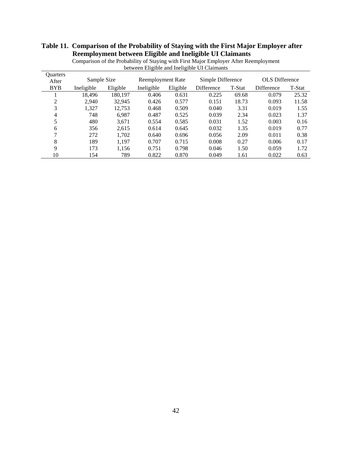# **Table 11. Comparison of the Probability of Staying with the First Major Employer after Reemployment between Eligible and Ineligible UI Claimants**

| <b>Ouarters</b><br>After | Sample Size |          | Reemployment Rate |          | Simple Difference |        | <b>OLS</b> Difference |        |
|--------------------------|-------------|----------|-------------------|----------|-------------------|--------|-----------------------|--------|
| <b>BYB</b>               | Ineligible  | Eligible | Ineligible        | Eligible | Difference        | T-Stat | Difference            | T-Stat |
|                          | 18.496      | 180.197  | 0.406             | 0.631    | 0.225             | 69.68  | 0.079                 | 25.32  |
| 2                        | 2.940       | 32,945   | 0.426             | 0.577    | 0.151             | 18.73  | 0.093                 | 11.58  |
| 3                        | 1,327       | 12.753   | 0.468             | 0.509    | 0.040             | 3.31   | 0.019                 | 1.55   |
| 4                        | 748         | 6.987    | 0.487             | 0.525    | 0.039             | 2.34   | 0.023                 | 1.37   |
| 5                        | 480         | 3,671    | 0.554             | 0.585    | 0.031             | 1.52   | 0.003                 | 0.16   |
| 6                        | 356         | 2,615    | 0.614             | 0.645    | 0.032             | 1.35   | 0.019                 | 0.77   |
| ⇁                        | 272         | 1,702    | 0.640             | 0.696    | 0.056             | 2.09   | 0.011                 | 0.38   |
| 8                        | 189         | 1,197    | 0.707             | 0.715    | 0.008             | 0.27   | 0.006                 | 0.17   |
| 9                        | 173         | 1,156    | 0.751             | 0.798    | 0.046             | 1.50   | 0.059                 | 1.72   |
| 10                       | 154         | 789      | 0.822             | 0.870    | 0.049             | 1.61   | 0.022                 | 0.63   |

Comparison of the Probability of Staying with First Major Employer After Reemployment between Eligible and Ineligible UI Claimants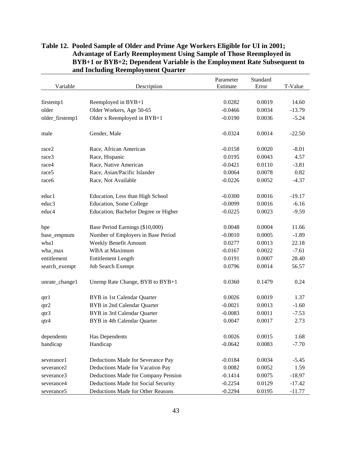| Variable          | Description                          | Parameter<br>Estimate | Standard<br>Error | T-Value  |
|-------------------|--------------------------------------|-----------------------|-------------------|----------|
|                   |                                      |                       |                   |          |
| firstemp1         | Reemployed in BYB+1                  | 0.0282                | 0.0019            | 14.60    |
| older             | Older Workers, Age 50-65             | $-0.0466$             | 0.0034            | $-13.79$ |
| older_firstemp1   | Older x Reemployed in BYB+1          | $-0.0190$             | 0.0036            | $-5.24$  |
|                   |                                      |                       |                   |          |
| male              | Gender, Male                         | $-0.0324$             | 0.0014            | $-22.50$ |
| race2             | Race, African American               | $-0.0158$             | 0.0020            | $-8.01$  |
| race3             | Race, Hispanic                       | 0.0195                | 0.0043            | 4.57     |
| race4             | Race, Native American                | $-0.0421$             | 0.0110            | $-3.81$  |
| race <sub>5</sub> | Race, Asian/Pacific Islander         | 0.0064                | 0.0078            | 0.82     |
| race6             | Race, Not Available                  | $-0.0226$             | 0.0052            | $-4.37$  |
| educ1             | Education, Less than High School     | $-0.0300$             | 0.0016            | $-19.17$ |
| educ3             | <b>Education, Some College</b>       | $-0.0099$             | 0.0016            | $-6.16$  |
| educ4             | Education, Bachelor Degree or Higher | $-0.0225$             | 0.0023            | $-9.59$  |
| bpe               | Base Period Earnings (\$10,000)      | 0.0048                | 0.0004            | 11.66    |
| base_empnum       | Number of Employers in Base Period   | $-0.0010$             | 0.0005            | $-1.89$  |
| wba1              | Weekly Benefit Amount                | 0.0277                | 0.0013            | 22.18    |
| wba_max           | <b>WBA</b> at Maximum                | $-0.0167$             | 0.0022            | $-7.61$  |
| entitlement       | <b>Entitlement Length</b>            | 0.0191                | 0.0007            | 28.40    |
| search_exempt     | Job Search Exempt                    | 0.0796                | 0.0014            | 56.57    |
| unrate_change1    | Unemp Rate Change, BYB to BYB+1      | 0.0360                | 0.1479            | 0.24     |
| qtr1              | BYB in 1st Calendar Quarter          | 0.0026                | 0.0019            | 1.37     |
| qtr2              | BYB in 2nd Calendar Quarter          | $-0.0021$             | 0.0013            | $-1.60$  |
| qtr3              | BYB in 3rd Calendar Quarter          | $-0.0083$             | 0.0011            | $-7.53$  |
| qtr4              | BYB in 4th Calendar Quarter          | 0.0047                | 0.0017            | 2.73     |
| dependents        | Has Dependents                       | 0.0026                | 0.0015            | 1.68     |
| handicap          | Handicap                             | $-0.0642$             | 0.0083            | $-7.70$  |
| severance1        | Deductions Made for Severance Pay    | $-0.0184$             | 0.0034            | $-5.45$  |
| severance2        | Deductions Made for Vacation Pay     | 0.0082                | 0.0052            | 1.59     |
| severance3        | Deductions Made for Company Pension  | $-0.1414$             | 0.0075            | $-18.97$ |
| severance4        | Deductions Made for Social Security  | $-0.2254$             | 0.0129            | $-17.42$ |
| severance5        | Deductions Made for Other Reasons    | $-0.2294$             | 0.0195            | $-11.77$ |

# **Table 12. Pooled Sample of Older and Prime Age Workers Eligible for UI in 2001; Advantage of Early Reemployment Using Sample of Those Reemployed in BYB+1 or BYB+2; Dependent Variable is the Employment Rate Subsequent to and Including Reemployment Quarter**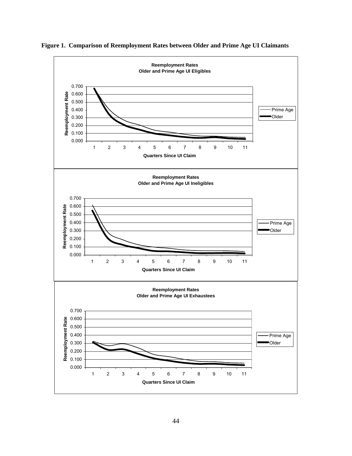

**Figure 1. Comparison of Reemployment Rates between Older and Prime Age UI Claimants**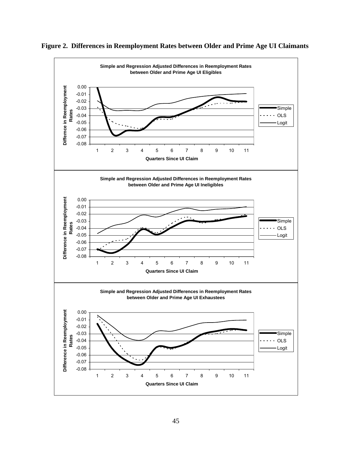

**Figure 2. Differences in Reemployment Rates between Older and Prime Age UI Claimants**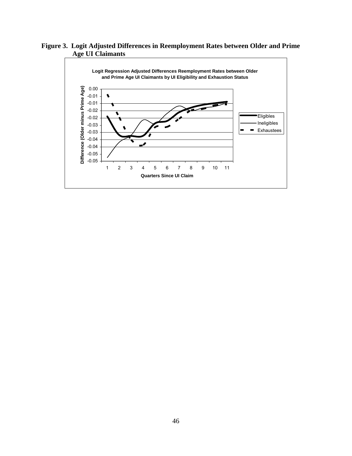**Figure 3. Logit Adjusted Differences in Reemployment Rates between Older and Prime Age UI Claimants** 

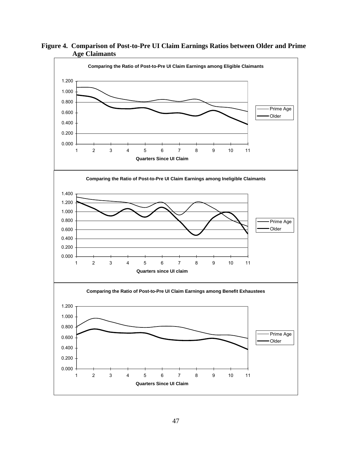

**Figure 4. Comparison of Post-to-Pre UI Claim Earnings Ratios between Older and Prime Age Claimants**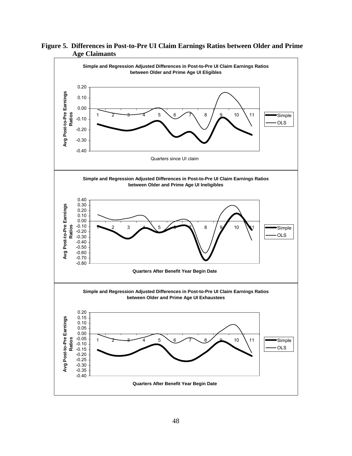

**Figure 5. Differences in Post-to-Pre UI Claim Earnings Ratios between Older and Prime Age Claimants**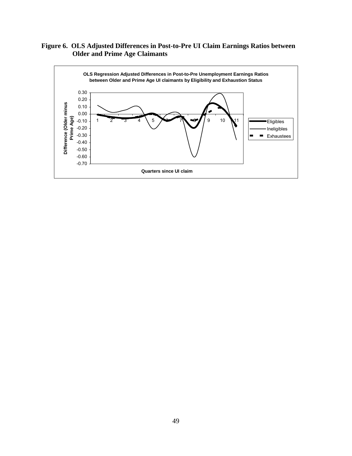# **Figure 6. OLS Adjusted Differences in Post-to-Pre UI Claim Earnings Ratios between Older and Prime Age Claimants**

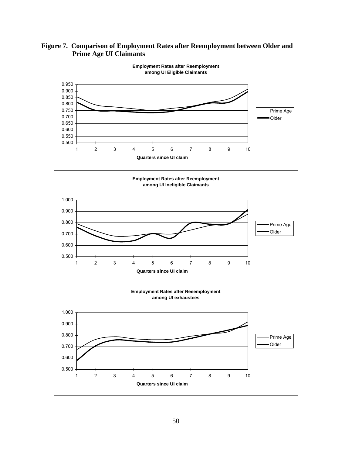

**Figure 7. Comparison of Employment Rates after Reemployment between Older and Prime Age UI Claimants**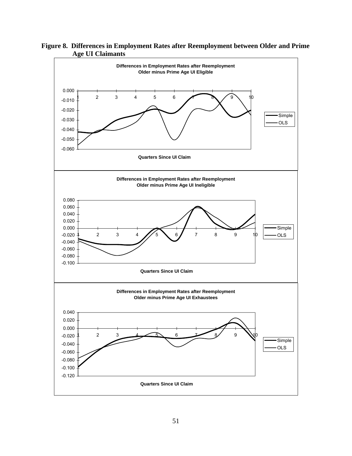

**Figure 8. Differences in Employment Rates after Reemployment between Older and Prime Age UI Claimants**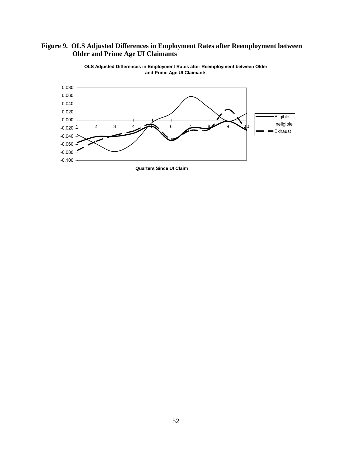

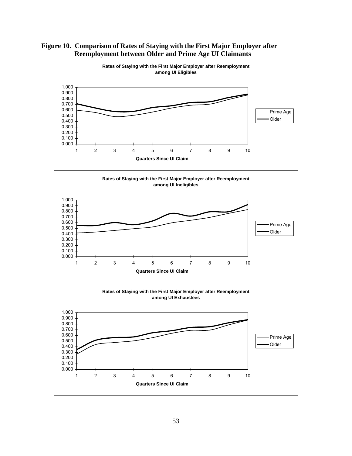

**Figure 10. Comparison of Rates of Staying with the First Major Employer after Reemployment between Older and Prime Age UI Claimants**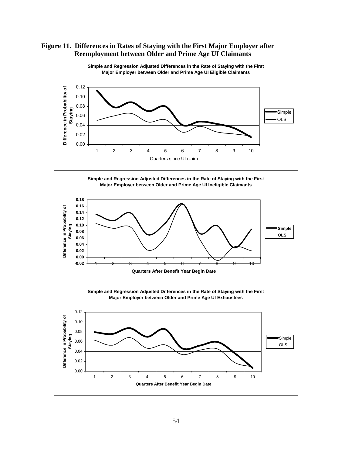

**Figure 11. Differences in Rates of Staying with the First Major Employer after Reemployment between Older and Prime Age UI Claimants**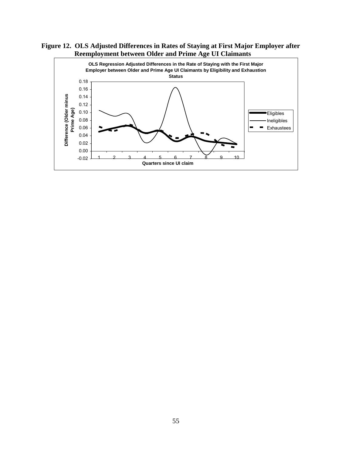**Figure 12. OLS Adjusted Differences in Rates of Staying at First Major Employer after Reemployment between Older and Prime Age UI Claimants**

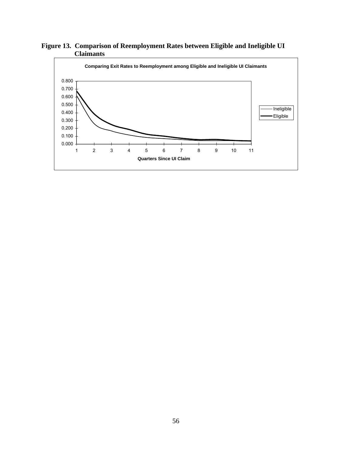

**Figure 13. Comparison of Reemployment Rates between Eligible and Ineligible UI Claimants**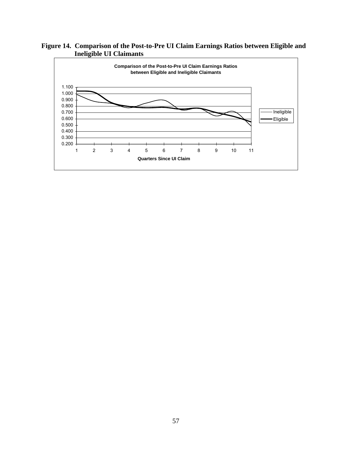**Figure 14. Comparison of the Post-to-Pre UI Claim Earnings Ratios between Eligible and Ineligible UI Claimants**

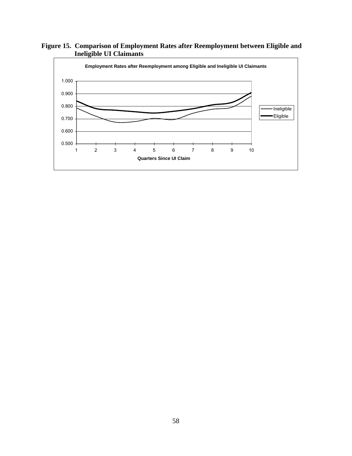**Figure 15. Comparison of Employment Rates after Reemployment between Eligible and Ineligible UI Claimants**